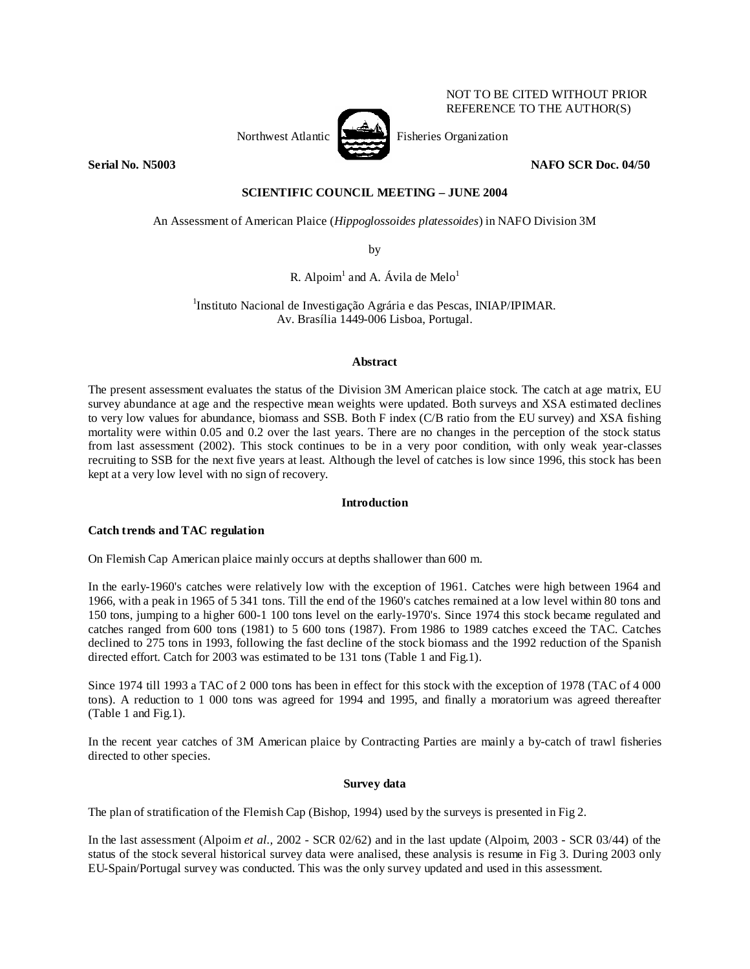

NOT TO BE CITED WITHOUT PRIOR REFERENCE TO THE AUTHOR(S)

# **Serial No. N5003 NAFO SCR Doc. 04/50**

## **SCIENTIFIC COUNCIL MEETING – JUNE 2004**

An Assessment of American Plaice (*Hippoglossoides platessoides*) in NAFO Division 3M

by

R. Alpoim<sup>1</sup> and A. Ávila de Melo<sup>1</sup>

<sup>1</sup>Instituto Nacional de Investigação Agrária e das Pescas, INIAP/IPIMAR. Av. Brasília 1449-006 Lisboa, Portugal.

## **Abstract**

The present assessment evaluates the status of the Division 3M American plaice stock. The catch at age matrix, EU survey abundance at age and the respective mean weights were updated. Both surveys and XSA estimated declines to very low values for abundance, biomass and SSB. Both F index (C/B ratio from the EU survey) and XSA fishing mortality were within 0.05 and 0.2 over the last years. There are no changes in the perception of the stock status from last assessment (2002). This stock continues to be in a very poor condition, with only weak year-classes recruiting to SSB for the next five years at least. Although the level of catches is low since 1996, this stock has been kept at a very low level with no sign of recovery.

## **Introduction**

## **Catch trends and TAC regulation**

On Flemish Cap American plaice mainly occurs at depths shallower than 600 m.

In the early-1960's catches were relatively low with the exception of 1961. Catches were high between 1964 and 1966, with a peak in 1965 of 5 341 tons. Till the end of the 1960's catches remained at a low level within 80 tons and 150 tons, jumping to a higher 600-1 100 tons level on the early-1970's. Since 1974 this stock became regulated and catches ranged from 600 tons (1981) to 5 600 tons (1987). From 1986 to 1989 catches exceed the TAC. Catches declined to 275 tons in 1993, following the fast decline of the stock biomass and the 1992 reduction of the Spanish directed effort. Catch for 2003 was estimated to be 131 tons (Table 1 and Fig.1).

Since 1974 till 1993 a TAC of 2 000 tons has been in effect for this stock with the exception of 1978 (TAC of 4 000 tons). A reduction to 1 000 tons was agreed for 1994 and 1995, and finally a moratorium was agreed thereafter (Table 1 and Fig.1).

In the recent year catches of 3M American plaice by Contracting Parties are mainly a by-catch of trawl fisheries directed to other species.

## **Survey data**

The plan of stratification of the Flemish Cap (Bishop, 1994) used by the surveys is presented in Fig 2.

In the last assessment (Alpoim *et al.,* 2002 - SCR 02/62) and in the last update (Alpoim, 2003 - SCR 03/44) of the status of the stock several historical survey data were analised, these analysis is resume in Fig 3. During 2003 only EU-Spain/Portugal survey was conducted. This was the only survey updated and used in this assessment.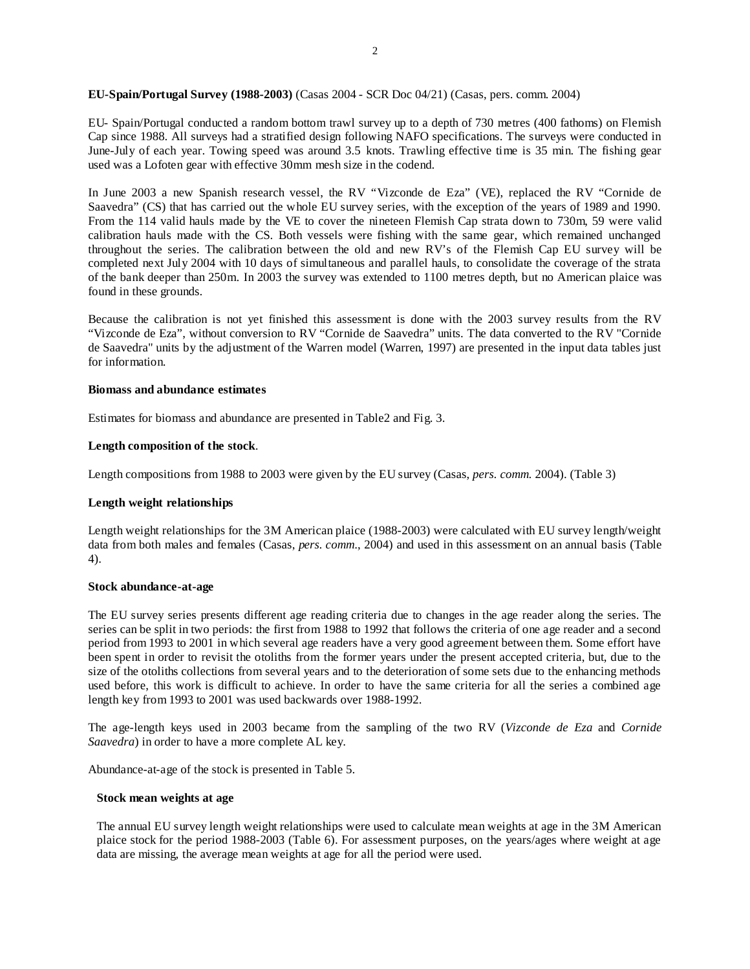## **EU-Spain/Portugal Survey (1988-2003)** (Casas 2004 - SCR Doc 04/21) (Casas, pers. comm. 2004)

EU- Spain/Portugal conducted a random bottom trawl survey up to a depth of 730 metres (400 fathoms) on Flemish Cap since 1988. All surveys had a stratified design following NAFO specifications. The surveys were conducted in June-July of each year. Towing speed was around 3.5 knots. Trawling effective time is 35 min. The fishing gear used was a Lofoten gear with effective 30mm mesh size in the codend.

In June 2003 a new Spanish research vessel, the RV "Vizconde de Eza" (VE), replaced the RV "Cornide de Saavedra" (CS) that has carried out the whole EU survey series, with the exception of the years of 1989 and 1990. From the 114 valid hauls made by the VE to cover the nineteen Flemish Cap strata down to 730m, 59 were valid calibration hauls made with the CS. Both vessels were fishing with the same gear, which remained unchanged throughout the series. The calibration between the old and new RV's of the Flemish Cap EU survey will be completed next July 2004 with 10 days of simultaneous and parallel hauls, to consolidate the coverage of the strata of the bank deeper than 250m. In 2003 the survey was extended to 1100 metres depth, but no American plaice was found in these grounds.

Because the calibration is not yet finished this assessment is done with the 2003 survey results from the RV "Vizconde de Eza", without conversion to RV "Cornide de Saavedra" units. The data converted to the RV "Cornide de Saavedra" units by the adjustment of the Warren model (Warren, 1997) are presented in the input data tables just for information.

## **Biomass and abundance estimates**

Estimates for biomass and abundance are presented in Table2 and Fig. 3.

### **Length composition of the stock**.

Length compositions from 1988 to 2003 were given by the EU survey (Casas, *pers. comm.* 2004). (Table 3)

## **Length weight relationships**

Length weight relationships for the 3M American plaice (1988-2003) were calculated with EU survey length/weight data from both males and females (Casas, *pers. comm*., 2004) and used in this assessment on an annual basis (Table 4).

#### **Stock abundance-at-age**

The EU survey series presents different age reading criteria due to changes in the age reader along the series. The series can be split in two periods: the first from 1988 to 1992 that follows the criteria of one age reader and a second period from 1993 to 2001 in which several age readers have a very good agreement between them. Some effort have been spent in order to revisit the otoliths from the former years under the present accepted criteria, but, due to the size of the otoliths collections from several years and to the deterioration of some sets due to the enhancing methods used before, this work is difficult to achieve. In order to have the same criteria for all the series a combined age length key from 1993 to 2001 was used backwards over 1988-1992.

The age-length keys used in 2003 became from the sampling of the two RV (*Vizconde de Eza* and *Cornide Saavedra*) in order to have a more complete AL key.

Abundance-at-age of the stock is presented in Table 5.

#### **Stock mean weights at age**

The annual EU survey length weight relationships were used to calculate mean weights at age in the 3M American plaice stock for the period 1988-2003 (Table 6). For assessment purposes, on the years/ages where weight at age data are missing, the average mean weights at age for all the period were used.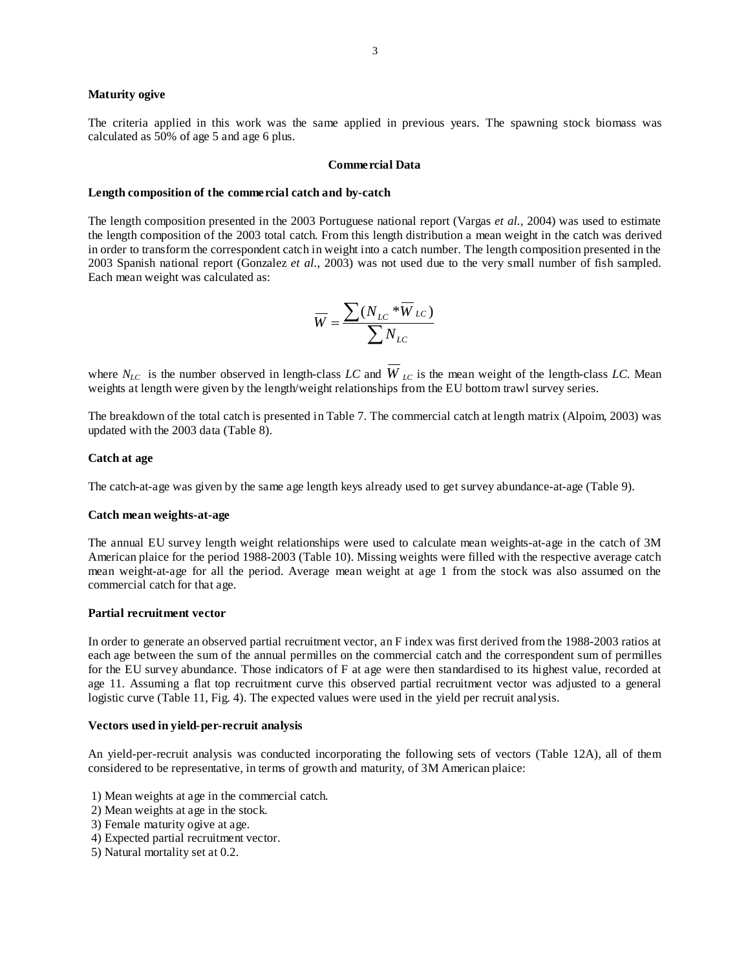#### **Maturity ogive**

The criteria applied in this work was the same applied in previous years. The spawning stock biomass was calculated as 50% of age 5 and age 6 plus.

#### **Commercial Data**

#### **Length composition of the commercial catch and by-catch**

The length composition presented in the 2003 Portuguese national report (Vargas *et al.*, 2004) was used to estimate the length composition of the 2003 total catch. From this length distribution a mean weight in the catch was derived in order to transform the correspondent catch in weight into a catch number. The length composition presented in the 2003 Spanish national report (Gonzalez *et al.*, 2003) was not used due to the very small number of fish sampled. Each mean weight was calculated as:

$$
\overline{W} = \frac{\sum (N_{LC} * \overline{W}_{LC})}{\sum N_{LC}}
$$

where  $N_{LC}$  is the number observed in length-class *LC* and  $W_{LC}$  is the mean weight of the length-class *LC*. Mean weights at length were given by the length/weight relationships from the EU bottom trawl survey series.

The breakdown of the total catch is presented in Table 7. The commercial catch at length matrix (Alpoim, 2003) was updated with the 2003 data (Table 8).

#### **Catch at age**

The catch-at-age was given by the same age length keys already used to get survey abundance-at-age (Table 9).

#### **Catch mean weights-at-age**

The annual EU survey length weight relationships were used to calculate mean weights-at-age in the catch of 3M American plaice for the period 1988-2003 (Table 10). Missing weights were filled with the respective average catch mean weight-at-age for all the period. Average mean weight at age 1 from the stock was also assumed on the commercial catch for that age.

#### **Partial recruitment vector**

In order to generate an observed partial recruitment vector, an F index was first derived from the 1988-2003 ratios at each age between the sum of the annual permilles on the commercial catch and the correspondent sum of permilles for the EU survey abundance. Those indicators of F at age were then standardised to its highest value, recorded at age 11. Assuming a flat top recruitment curve this observed partial recruitment vector was adjusted to a general logistic curve (Table 11, Fig. 4). The expected values were used in the yield per recruit analysis.

#### **Vectors used in yield-per-recruit analysis**

An yield-per-recruit analysis was conducted incorporating the following sets of vectors (Table 12A), all of them considered to be representative, in terms of growth and maturity, of 3M American plaice:

- 1) Mean weights at age in the commercial catch.
- 2) Mean weights at age in the stock.
- 3) Female maturity ogive at age.
- 4) Expected partial recruitment vector.
- 5) Natural mortality set at 0.2.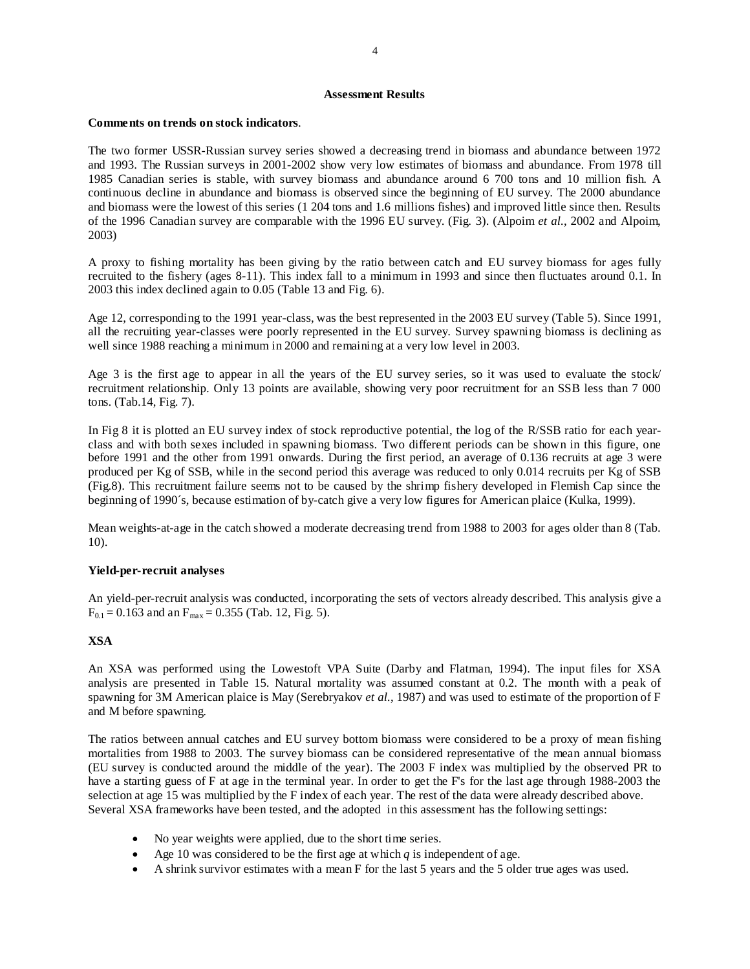#### **Assessment Results**

### **Comments on trends on stock indicators**.

The two former USSR-Russian survey series showed a decreasing trend in biomass and abundance between 1972 and 1993. The Russian surveys in 2001-2002 show very low estimates of biomass and abundance. From 1978 till 1985 Canadian series is stable, with survey biomass and abundance around 6 700 tons and 10 million fish. A continuous decline in abundance and biomass is observed since the beginning of EU survey. The 2000 abundance and biomass were the lowest of this series (1 204 tons and 1.6 millions fishes) and improved little since then. Results of the 1996 Canadian survey are comparable with the 1996 EU survey. (Fig. 3). (Alpoim *et al.*, 2002 and Alpoim, 2003)

A proxy to fishing mortality has been giving by the ratio between catch and EU survey biomass for ages fully recruited to the fishery (ages 8-11). This index fall to a minimum in 1993 and since then fluctuates around 0.1. In 2003 this index declined again to 0.05 (Table 13 and Fig. 6).

Age 12, corresponding to the 1991 year-class, was the best represented in the 2003 EU survey (Table 5). Since 1991, all the recruiting year-classes were poorly represented in the EU survey. Survey spawning biomass is declining as well since 1988 reaching a minimum in 2000 and remaining at a very low level in 2003.

Age 3 is the first age to appear in all the years of the EU survey series, so it was used to evaluate the stock/ recruitment relationship. Only 13 points are available, showing very poor recruitment for an SSB less than 7 000 tons. (Tab.14, Fig. 7).

In Fig 8 it is plotted an EU survey index of stock reproductive potential, the log of the R/SSB ratio for each yearclass and with both sexes included in spawning biomass. Two different periods can be shown in this figure, one before 1991 and the other from 1991 onwards. During the first period, an average of 0.136 recruits at age 3 were produced per Kg of SSB, while in the second period this average was reduced to only 0.014 recruits per Kg of SSB (Fig.8). This recruitment failure seems not to be caused by the shrimp fishery developed in Flemish Cap since the beginning of 1990´s, because estimation of by-catch give a very low figures for American plaice (Kulka, 1999).

Mean weights-at-age in the catch showed a moderate decreasing trend from 1988 to 2003 for ages older than 8 (Tab. 10).

## **Yield-per-recruit analyses**

An yield-per-recruit analysis was conducted, incorporating the sets of vectors already described. This analysis give a  $F_{0.1} = 0.163$  and an  $F_{\text{max}} = 0.355$  (Tab. 12, Fig. 5).

## **XSA**

An XSA was performed using the Lowestoft VPA Suite (Darby and Flatman, 1994). The input files for XSA analysis are presented in Table 15. Natural mortality was assumed constant at 0.2. The month with a peak of spawning for 3M American plaice is May (Serebryakov *et al.*, 1987) and was used to estimate of the proportion of F and M before spawning.

The ratios between annual catches and EU survey bottom biomass were considered to be a proxy of mean fishing mortalities from 1988 to 2003. The survey biomass can be considered representative of the mean annual biomass (EU survey is conducted around the middle of the year). The 2003 F index was multiplied by the observed PR to have a starting guess of F at age in the terminal year. In order to get the F's for the last age through 1988-2003 the selection at age 15 was multiplied by the F index of each year. The rest of the data were already described above. Several XSA frameworks have been tested, and the adopted in this assessment has the following settings:

- No year weights were applied, due to the short time series.
- Age 10 was considered to be the first age at which  $q$  is independent of age.
- A shrink survivor estimates with a mean F for the last 5 years and the 5 older true ages was used.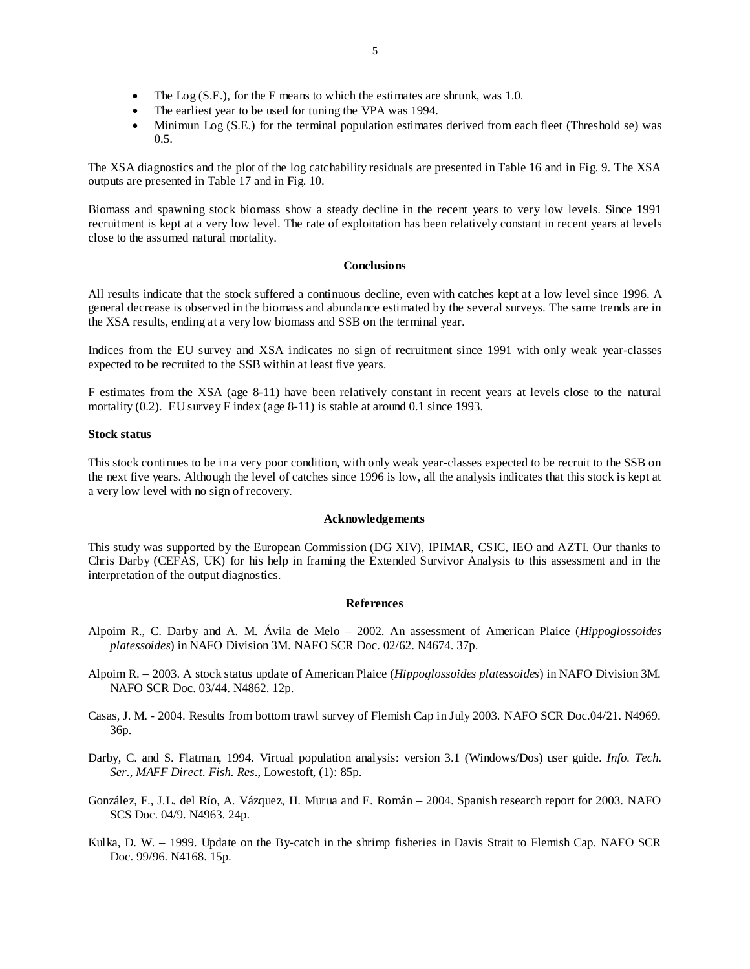- The Log (S.E.), for the F means to which the estimates are shrunk, was 1.0.
- The earliest year to be used for tuning the VPA was 1994.
- Minimun Log (S.E.) for the terminal population estimates derived from each fleet (Threshold se) was 0.5.

The XSA diagnostics and the plot of the log catchability residuals are presented in Table 16 and in Fig. 9. The XSA outputs are presented in Table 17 and in Fig. 10.

Biomass and spawning stock biomass show a steady decline in the recent years to very low levels. Since 1991 recruitment is kept at a very low level. The rate of exploitation has been relatively constant in recent years at levels close to the assumed natural mortality.

## **Conclusions**

All results indicate that the stock suffered a continuous decline, even with catches kept at a low level since 1996. A general decrease is observed in the biomass and abundance estimated by the several surveys. The same trends are in the XSA results, ending at a very low biomass and SSB on the terminal year.

Indices from the EU survey and XSA indicates no sign of recruitment since 1991 with only weak year-classes expected to be recruited to the SSB within at least five years.

F estimates from the XSA (age 8-11) have been relatively constant in recent years at levels close to the natural mortality (0.2). EU survey F index (age 8-11) is stable at around 0.1 since 1993.

### **Stock status**

This stock continues to be in a very poor condition, with only weak year-classes expected to be recruit to the SSB on the next five years. Although the level of catches since 1996 is low, all the analysis indicates that this stock is kept at a very low level with no sign of recovery.

#### **Acknowledgements**

This study was supported by the European Commission (DG XIV), IPIMAR, CSIC, IEO and AZTI. Our thanks to Chris Darby (CEFAS, UK) for his help in framing the Extended Survivor Analysis to this assessment and in the interpretation of the output diagnostics.

#### **References**

- Alpoim R., C. Darby and A. M. Ávila de Melo 2002. An assessment of American Plaice (*Hippoglossoides platessoides*) in NAFO Division 3M. NAFO SCR Doc. 02/62. N4674. 37p.
- Alpoim R. 2003. A stock status update of American Plaice (*Hippoglossoides platessoides*) in NAFO Division 3M. NAFO SCR Doc. 03/44. N4862. 12p.
- Casas, J. M. 2004. Results from bottom trawl survey of Flemish Cap in July 2003. NAFO SCR Doc.04/21. N4969. 36p.
- Darby, C. and S. Flatman, 1994. Virtual population analysis: version 3.1 (Windows/Dos) user guide. *Info. Tech. Ser., MAFF Direct. Fish. Res*., Lowestoft, (1): 85p.
- González, F., J.L. del Río, A. Vázquez, H. Murua and E. Román 2004. Spanish research report for 2003. NAFO SCS Doc. 04/9. N4963. 24p.
- Kulka, D. W. 1999. Update on the By-catch in the shrimp fisheries in Davis Strait to Flemish Cap. NAFO SCR Doc. 99/96. N4168. 15p.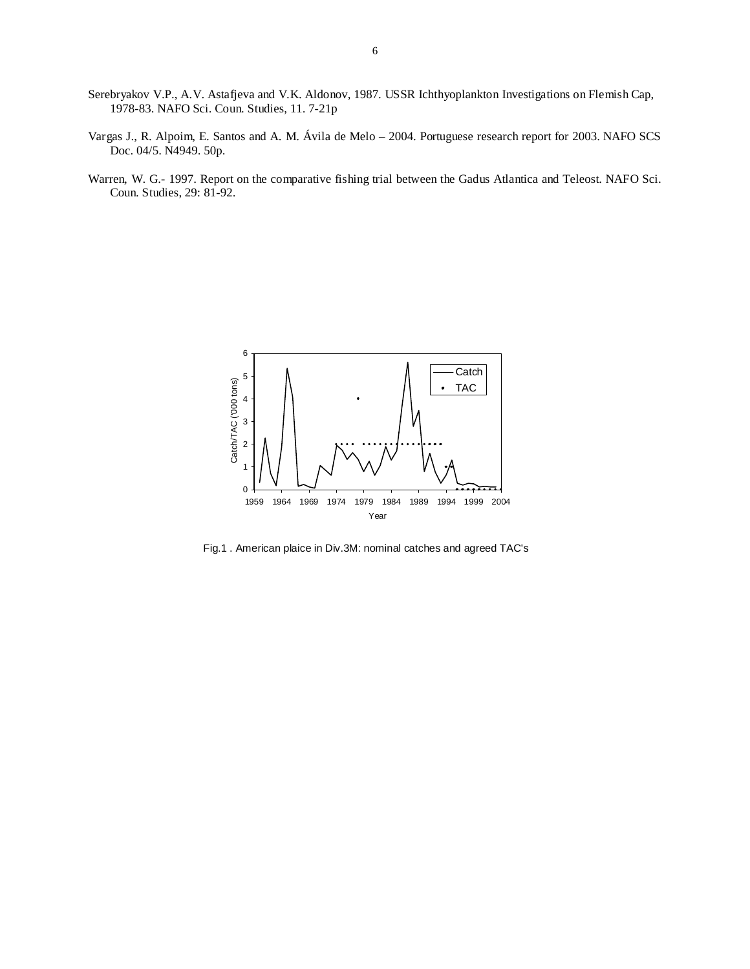- Serebryakov V.P., A.V. Astafjeva and V.K. Aldonov, 1987. USSR Ichthyoplankton Investigations on Flemish Cap, 1978-83. NAFO Sci. Coun. Studies, 11. 7-21p
- Vargas J., R. Alpoim, E. Santos and A. M. Ávila de Melo 2004. Portuguese research report for 2003. NAFO SCS Doc. 04/5. N4949. 50p.
- Warren, W. G.- 1997. Report on the comparative fishing trial between the Gadus Atlantica and Teleost. NAFO Sci. Coun. Studies, 29: 81-92.



Fig.1 . American plaice in Div.3M: nominal catches and agreed TAC's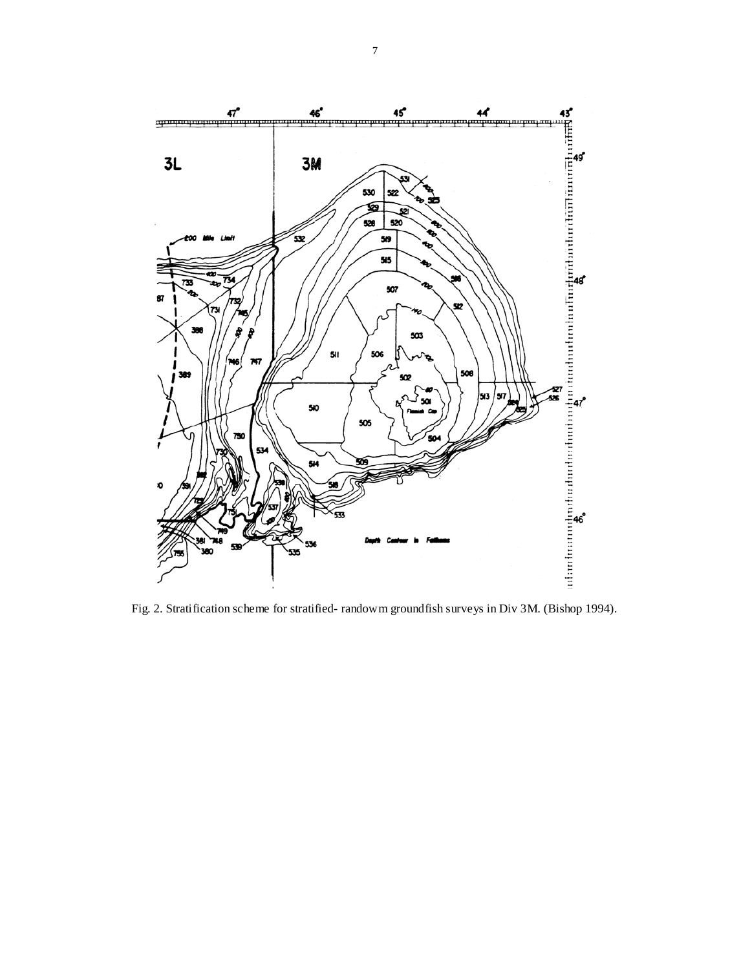

Fig. 2. Stratification scheme for stratified- randowm groundfish surveys in Div 3M. (Bishop 1994).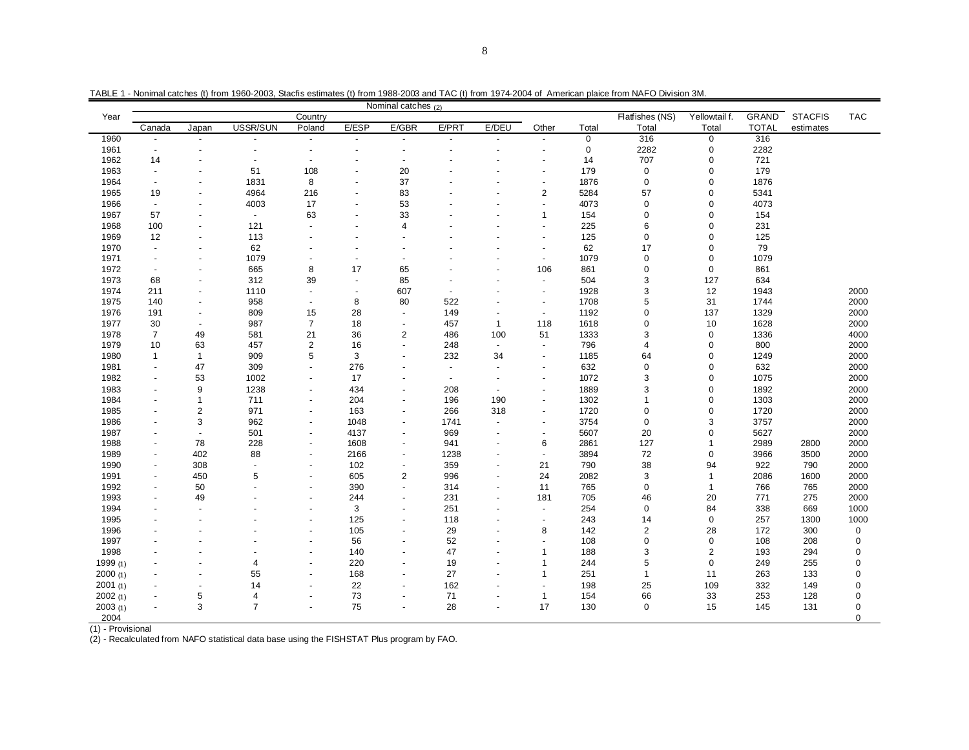|            |                          |                          |                |                |                          | Nominal catches $(2)$    |                |                          |                          |             | ADLL T TWITTING VALUES (I) ITUHT ISOU-LUUS, OLAND GSIIHAIGS (I) ITUHT ISOU-LUUS AHU TAO (I) ITUHT ISI + LUU+ UI AHIGHGAH DIANG HUHTTINAT O DIVISION SIWI |               |              |                |             |
|------------|--------------------------|--------------------------|----------------|----------------|--------------------------|--------------------------|----------------|--------------------------|--------------------------|-------------|----------------------------------------------------------------------------------------------------------------------------------------------------------|---------------|--------------|----------------|-------------|
| Year       |                          |                          |                | Country        |                          |                          |                |                          |                          |             | Flatfishes (NS)                                                                                                                                          | Yellowtail f. | <b>GRAND</b> | <b>STACFIS</b> | <b>TAC</b>  |
|            | Canada                   | Japan                    | USSR/SUN       | Poland         | E/ESP                    | E/GBR                    | E/PRT          | E/DEU                    | Other                    | Total       | Total                                                                                                                                                    | Total         | <b>TOTAL</b> | estimates      |             |
| 1960       | $\blacksquare$           |                          |                |                | $\blacksquare$           |                          | $\blacksquare$ |                          |                          | $\mathbf 0$ | 316                                                                                                                                                      | $\mathbf 0$   | 316          |                |             |
| 1961       | $\blacksquare$           | $\overline{a}$           |                | $\sim$         | $\overline{\phantom{a}}$ | $\overline{\phantom{a}}$ |                |                          | $\blacksquare$           | $\mathbf 0$ | 2282                                                                                                                                                     | $\mathbf 0$   | 2282         |                |             |
| 1962       | 14                       |                          |                |                |                          |                          |                |                          |                          | 14          | 707                                                                                                                                                      | 0             | 721          |                |             |
| 1963       | $\blacksquare$           | ÷                        | 51             | 108            | $\overline{\phantom{a}}$ | 20                       |                |                          | ÷                        | 179         | 0                                                                                                                                                        | 0             | 179          |                |             |
| 1964       | $\overline{\phantom{a}}$ | ÷,                       | 1831           | 8              | $\blacksquare$           | 37                       |                |                          | ÷                        | 1876        | 0                                                                                                                                                        | 0             | 1876         |                |             |
| 1965       | 19                       |                          | 4964           | 216            | $\overline{\phantom{a}}$ | 83                       |                |                          | $\mathbf 2$              | 5284        | 57                                                                                                                                                       | $\pmb{0}$     | 5341         |                |             |
| 1966       | $\overline{\phantom{a}}$ | $\blacksquare$           | 4003           | 17             | $\blacksquare$           | 53                       |                |                          | $\overline{\phantom{a}}$ | 4073        | $\mathbf 0$                                                                                                                                              | $\mathbf 0$   | 4073         |                |             |
| 1967       | 57                       | $\overline{a}$           | $\blacksquare$ | 63             | $\blacksquare$           | 33                       |                |                          | $\overline{1}$           | 154         | $\mathbf 0$                                                                                                                                              | $\pmb{0}$     | 154          |                |             |
| 1968       | 100                      | $\blacksquare$           | 121            |                | $\sim$                   | $\overline{4}$           |                |                          | $\sim$                   | 225         | 6                                                                                                                                                        | $\mathbf 0$   | 231          |                |             |
| 1969       | 12                       |                          | 113            |                | $\overline{a}$           |                          |                |                          | ÷,                       | 125         | $\mathsf 0$                                                                                                                                              | 0             | 125          |                |             |
| 1970       | $\overline{a}$           |                          | 62             |                | $\overline{\phantom{a}}$ |                          |                |                          | $\overline{\phantom{a}}$ | 62          | 17                                                                                                                                                       | $\mathbf 0$   | 79           |                |             |
| 1971       | $\blacksquare$           | $\overline{a}$           | 1079           |                | $\sim$                   |                          |                |                          | $\sim$                   | 1079        | 0                                                                                                                                                        | 0             | 1079         |                |             |
| 1972       | $\blacksquare$           |                          | 665            | 8              | 17                       | 65                       |                |                          | 106                      | 861         | $\mathbf 0$                                                                                                                                              | $\mathbf 0$   | 861          |                |             |
| 1973       | 68                       | $\blacksquare$           | 312            | 39             | $\sim$                   | 85                       |                |                          | ٠                        | 504         | 3                                                                                                                                                        | 127           | 634          |                |             |
| 1974       | 211                      | $\overline{a}$           | 1110           |                | $\overline{a}$           | 607                      | $\overline{a}$ |                          | $\overline{a}$           | 1928        | 3                                                                                                                                                        | 12            | 1943         |                | 2000        |
| 1975       | 140                      | $\blacksquare$           | 958            |                | 8                        | 80                       | 522            |                          | $\overline{a}$           | 1708        | 5                                                                                                                                                        | 31            | 1744         |                | 2000        |
| 1976       | 191                      | $\overline{\phantom{a}}$ | 809            | 15             | 28                       | $\overline{\phantom{a}}$ | 149            | $\blacksquare$           | $\sim$                   | 1192        | $\mathbf 0$                                                                                                                                              | 137           | 1329         |                | 2000        |
| 1977       | 30                       | $\blacksquare$           | 987            | $\overline{7}$ | 18                       | $\sim$                   | 457            | $\mathbf{1}$             | 118                      | 1618        | $\mathbf 0$                                                                                                                                              | 10            | 1628         |                | 2000        |
| 1978       | $\overline{7}$           | 49                       | 581            | 21             | 36                       | $\overline{2}$           | 486            | 100                      | 51                       | 1333        | 3                                                                                                                                                        | $\mathbf 0$   | 1336         |                | 4000        |
| 1979       | 10                       | 63                       | 457            | $\overline{2}$ | 16                       | $\overline{\phantom{a}}$ | 248            | $\overline{\phantom{a}}$ | $\overline{\phantom{a}}$ | 796         | $\overline{4}$                                                                                                                                           | $\mathbf 0$   | 800          |                | 2000        |
| 1980       | $\mathbf{1}$             | $\mathbf{1}$             | 909            | 5              | 3                        |                          | 232            | 34                       | $\blacksquare$           | 1185        | 64                                                                                                                                                       | 0             | 1249         |                | 2000        |
| 1981       | $\overline{\phantom{a}}$ | 47                       | 309            |                | 276                      | $\overline{\phantom{a}}$ | $\blacksquare$ | $\blacksquare$           | $\overline{\phantom{a}}$ | 632         | 0                                                                                                                                                        | 0             | 632          |                | 2000        |
| 1982       | $\blacksquare$           | 53                       | 1002           |                | 17                       |                          | $\blacksquare$ |                          | $\overline{\phantom{a}}$ | 1072        | 3                                                                                                                                                        | 0             | 1075         |                | 2000        |
| 1983       | $\overline{a}$           | 9                        | 1238           |                | 434                      | $\sim$                   | 208            | $\sim$                   | ÷,                       | 1889        | 3                                                                                                                                                        | 0             | 1892         |                | 2000        |
| 1984       | $\overline{a}$           | $\mathbf{1}$             | 711            |                | 204                      |                          | 196            | 190                      | $\blacksquare$           | 1302        | $\mathbf{1}$                                                                                                                                             | 0             | 1303         |                | 2000        |
| 1985       |                          | $\overline{c}$           | 971            |                | 163                      | $\blacksquare$           | 266            | 318                      | ÷,                       | 1720        | $\mathbf 0$                                                                                                                                              | $\pmb{0}$     | 1720         |                | 2000        |
| 1986       |                          | 3                        | 962            |                | 1048                     |                          | 1741           | $\sim$                   | $\sim$                   | 3754        | $\mathsf 0$                                                                                                                                              | 3             | 3757         |                | 2000        |
| 1987       | ٠                        | $\overline{\phantom{a}}$ | 501            |                | 4137                     | $\overline{\phantom{a}}$ | 969            | $\blacksquare$           | $\overline{a}$           | 5607        | 20                                                                                                                                                       | 0             | 5627         |                | 2000        |
| 1988       | $\blacksquare$           | 78                       | 228            |                | 1608                     | $\overline{\phantom{a}}$ | 941            | $\blacksquare$           | 6                        | 2861        | 127                                                                                                                                                      |               | 2989         | 2800           | 2000        |
| 1989       | $\blacksquare$           | 402                      | 88             |                | 2166                     | $\sim$                   | 1238           | $\overline{a}$           | $\sim$                   | 3894        | 72                                                                                                                                                       | 0             | 3966         | 3500           | 2000        |
| 1990       | $\overline{\phantom{a}}$ | 308                      | $\sim$         |                | 102                      | $\sim$                   | 359            | $\blacksquare$           | 21                       | 790         | 38                                                                                                                                                       | 94            | 922          | 790            | 2000        |
| 1991       | $\blacksquare$           | 450                      | 5              |                | 605                      | $\overline{2}$           | 996            |                          | 24                       | 2082        | 3                                                                                                                                                        | $\mathbf{1}$  | 2086         | 1600           | 2000        |
| 1992       | $\blacksquare$           | 50                       |                |                | 390                      | $\overline{\phantom{a}}$ | 314            | $\blacksquare$           | 11                       | 765         | $\mathbf 0$                                                                                                                                              | 1             | 766          | 765            | 2000        |
| 1993       |                          | 49                       |                |                | 244                      |                          | 231            |                          | 181                      | 705         | 46                                                                                                                                                       | 20            | 771          | 275            | 2000        |
| 1994       | $\overline{\phantom{a}}$ | $\overline{\phantom{a}}$ |                |                | 3                        | $\blacksquare$           | 251            | $\overline{a}$           | $\overline{a}$           | 254         | $\mathbf 0$                                                                                                                                              | 84            | 338          | 669            | 1000        |
| 1995       |                          |                          |                |                | 125                      |                          | 118            |                          |                          | 243         | 14                                                                                                                                                       | $\mathbf 0$   | 257          | 1300           | 1000        |
| 1996       |                          |                          |                |                | 105                      | $\overline{\phantom{a}}$ | 29             |                          | 8                        | 142         | $\overline{2}$                                                                                                                                           | 28            | 172          | 300            | $\mathbf 0$ |
| 1997       |                          |                          |                |                | 56                       |                          | 52             |                          | ÷,                       | 108         | 0                                                                                                                                                        | $\mathbf 0$   | 108          | 208            | $\mathbf 0$ |
| 1998       |                          |                          |                |                | 140                      | $\sim$                   | 47             |                          | $\overline{1}$           | 188         | 3                                                                                                                                                        | $\mathbf{2}$  | 193          | 294            | 0           |
| 1999 $(1)$ |                          |                          | 4              |                | 220                      |                          | 19             |                          | $\overline{1}$           | 244         | 5                                                                                                                                                        | 0             | 249          | 255            | 0           |
| 2000(1)    |                          | $\overline{\phantom{a}}$ | 55             |                | 168                      | $\blacksquare$           | 27             | ٠                        | $\mathbf{1}$             | 251         | $\mathbf{1}$                                                                                                                                             | 11            | 263          | 133            | 0           |
| 2001 $(1)$ |                          | ÷                        | 14             |                | 22                       |                          | 162            |                          | ÷                        | 198         | 25                                                                                                                                                       | 109           | 332          | 149            | 0           |
| 2002(1)    |                          | 5                        | $\overline{4}$ |                | 73                       |                          | 71             | $\overline{\phantom{a}}$ | $\mathbf{1}$             | 154         | 66                                                                                                                                                       | 33            | 253          | 128            | 0           |
| 2003(1)    | $\blacksquare$           | 3                        | $\overline{7}$ |                | 75                       | $\sim$                   | 28             | $\overline{\phantom{a}}$ | 17                       | 130         | $\mathbf 0$                                                                                                                                              | 15            | 145          | 131            | 0           |
| 2004       |                          |                          |                |                |                          |                          |                |                          |                          |             |                                                                                                                                                          |               |              |                | 0           |

TABLE 1 - Nonimal catches (t) from 1960-2003, Stacfis estimates (t) from 1988-2003 and TAC (t) from 1974-2004 of American plaice from NAFO Division 3M.

(1) - Provisional

(2) - Recalculated from NAFO statistical data base using the FISHSTAT Plus program by FAO.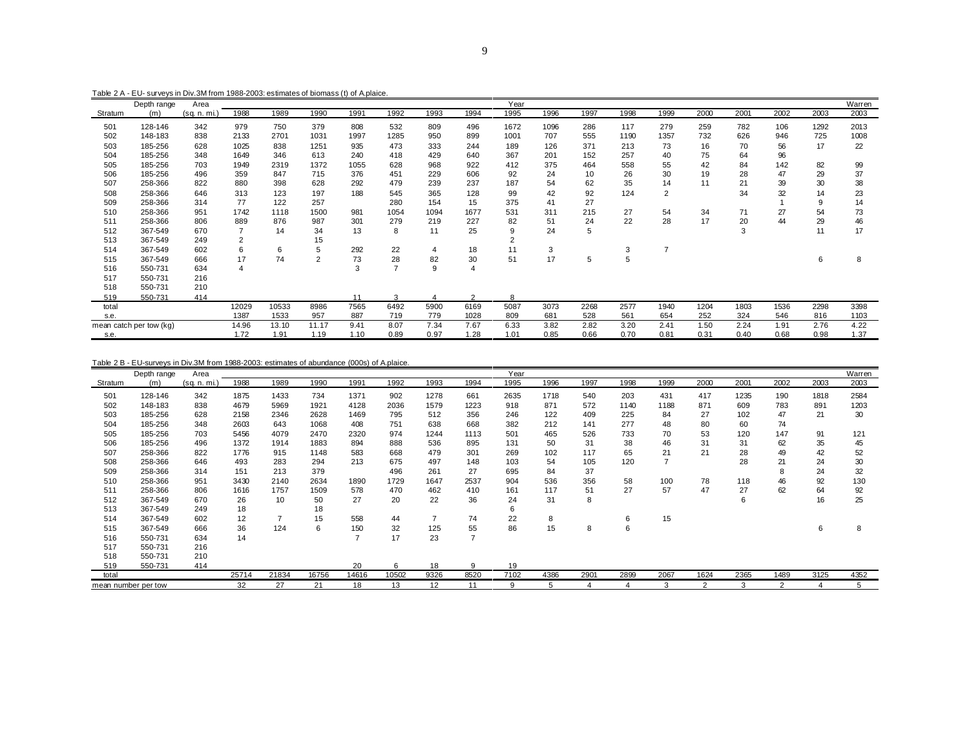Table 2 A - EU- surveys in Div.3M from 1988-2003: estimates of biomass (t) of A.plaice.

|         | Depth range             | Area         |                |       |                |      |      |                |                | Year           |      |      |      |                |      |      |      |      | Warren |
|---------|-------------------------|--------------|----------------|-------|----------------|------|------|----------------|----------------|----------------|------|------|------|----------------|------|------|------|------|--------|
| Stratum | (m)                     | (sq. n. mi.) | 1988           | 1989  | 1990           | 1991 | 1992 | 1993           | 1994           | 1995           | 1996 | 1997 | 1998 | 1999           | 2000 | 2001 | 2002 | 2003 | 2003   |
| 501     | 128-146                 | 342          | 979            | 750   | 379            | 808  | 532  | 809            | 496            | 1672           | 1096 | 286  | 117  | 279            | 259  | 782  | 106  | 1292 | 2013   |
| 502     | 148-183                 | 838          | 2133           | 2701  | 1031           | 1997 | 1285 | 950            | 899            | 1001           | 707  | 555  | 1190 | 1357           | 732  | 626  | 946  | 725  | 1008   |
| 503     | 185-256                 | 628          | 1025           | 838   | 1251           | 935  | 473  | 333            | 244            | 189            | 126  | 371  | 213  | 73             | 16   | 70   | 56   | 17   | 22     |
| 504     | 185-256                 | 348          | 1649           | 346   | 613            | 240  | 418  | 429            | 640            | 367            | 201  | 152  | 257  | 40             | 75   | 64   | 96   |      |        |
| 505     | 185-256                 | 703          | 1949           | 2319  | 1372           | 1055 | 628  | 968            | 922            | 412            | 375  | 464  | 558  | 55             | 42   | 84   | 142  | 82   | 99     |
| 506     | 185-256                 | 496          | 359            | 847   | 715            | 376  | 451  | 229            | 606            | 92             | 24   | 10   | 26   | 30             | 19   | 28   | 47   | 29   | 37     |
| 507     | 258-366                 | 822          | 880            | 398   | 628            | 292  | 479  | 239            | 237            | 187            | 54   | 62   | 35   | 14             | 11   | 21   | 39   | 30   | 38     |
| 508     | 258-366                 | 646          | 313            | 123   | 197            | 188  | 545  | 365            | 128            | 99             | 42   | 92   | 124  | $\overline{2}$ |      | 34   | 32   | 14   | 23     |
| 509     | 258-366                 | 314          | 77             | 122   | 257            |      | 280  | 154            | 15             | 375            | 41   | 27   |      |                |      |      |      | 9    | 14     |
| 510     | 258-366                 | 951          | 1742           | 1118  | 1500           | 981  | 1054 | 1094           | 1677           | 531            | 311  | 215  | 27   | 54             | 34   | 71   | 27   | 54   | 73     |
| 511     | 258-366                 | 806          | 889            | 876   | 987            | 301  | 279  | 219            | 227            | 82             | 51   | 24   | 22   | 28             | 17   | 20   | 44   | 29   | 46     |
| 512     | 367-549                 | 670          |                | 14    | 34             | 13   | 8    | 11             | 25             | 9              | 24   | 5    |      |                |      | 3    |      | 11   | 17     |
| 513     | 367-549                 | 249          | $\overline{2}$ |       | 15             |      |      |                |                | $\overline{2}$ |      |      |      |                |      |      |      |      |        |
| 514     | 367-549                 | 602          | 6              | 6     | 5              | 292  | 22   | $\overline{4}$ | 18             | 11             | 3    |      | 3    | $\overline{7}$ |      |      |      |      |        |
| 515     | 367-549                 | 666          | 17             | 74    | $\overline{c}$ | 73   | 28   | 82             | 30             | 51             | 17   | 5    | 5    |                |      |      |      | 6    | 8      |
| 516     | 550-731                 | 634          | 4              |       |                | 3    |      | 9              | $\overline{4}$ |                |      |      |      |                |      |      |      |      |        |
| 517     | 550-731                 | 216          |                |       |                |      |      |                |                |                |      |      |      |                |      |      |      |      |        |
| 518     | 550-731                 | 210          |                |       |                |      |      |                |                |                |      |      |      |                |      |      |      |      |        |
| 519     | 550-731                 | 414          |                |       |                | 11   | 3    |                | $\overline{2}$ | 8              |      |      |      |                |      |      |      |      |        |
| total   |                         |              | 12029          | 10533 | 8986           | 7565 | 6492 | 5900           | 6169           | 5087           | 3073 | 2268 | 2577 | 1940           | 1204 | 1803 | 1536 | 2298 | 3398   |
| s.e.    |                         |              | 1387           | 1533  | 957            | 887  | 719  | 779            | 1028           | 809            | 681  | 528  | 561  | 654            | 252  | 324  | 546  | 816  | 1103   |
|         | mean catch per tow (kg) |              | 14.96          | 13.10 | 11.17          | 9.41 | 8.07 | 7.34           | 7.67           | 6.33           | 3.82 | 2.82 | 3.20 | 2.41           | 1.50 | 2.24 | 1.91 | 2.76 | 4.22   |
| s.e.    |                         |              | 1.72           | 1.91  | 1.19           | 1.10 | 0.89 | 0.97           | 1.28           | 1.01           | 0.85 | 0.66 | 0.70 | 0.81           | 0.31 | 0.40 | 0.68 | 0.98 | 1.37   |

#### Table 2 B - EU-surveys in Div.3M from 1988-2003: estimates of abundance (000s) of A.plaice.

|         | Depth range         | Area         |       |       |       |       |       |                |      | Year |      |      |      |      |                |      |                |      | Warren |
|---------|---------------------|--------------|-------|-------|-------|-------|-------|----------------|------|------|------|------|------|------|----------------|------|----------------|------|--------|
| Stratum | (m)                 | (sq. n. mi.) | 1988  | 1989  | 1990  | 1991  | 1992  | 1993           | 1994 | 1995 | 1996 | 1997 | 1998 | 1999 | 2000           | 2001 | 2002           | 2003 | 2003   |
| 501     | 128-146             | 342          | 1875  | 1433  | 734   | 1371  | 902   | 1278           | 661  | 2635 | 1718 | 540  | 203  | 431  | 417            | 1235 | 190            | 1818 | 2584   |
| 502     | 148-183             | 838          | 4679  | 5969  | 1921  | 4128  | 2036  | 1579           | 1223 | 918  | 871  | 572  | 1140 | 1188 | 871            | 609  | 783            | 891  | 1203   |
| 503     | 185-256             | 628          | 2158  | 2346  | 2628  | 1469  | 795   | 512            | 356  | 246  | 122  | 409  | 225  | 84   | 27             | 102  | 47             | 21   | 30     |
| 504     | 185-256             | 348          | 2603  | 643   | 1068  | 408   | 751   | 638            | 668  | 382  | 212  | 141  | 277  | 48   | 80             | 60   | 74             |      |        |
| 505     | 185-256             | 703          | 5456  | 4079  | 2470  | 2320  | 974   | 1244           | 1113 | 501  | 465  | 526  | 733  | 70   | 53             | 120  | 147            | 91   | 121    |
| 506     | 185-256             | 496          | 1372  | 1914  | 1883  | 894   | 888   | 536            | 895  | 131  | 50   | 31   | 38   | 46   | 31             | 31   | 62             | 35   | 45     |
| 507     | 258-366             | 822          | 1776  | 915   | 1148  | 583   | 668   | 479            | 301  | 269  | 102  | 117  | 65   | 21   | 21             | 28   | 49             | 42   | 52     |
| 508     | 258-366             | 646          | 493   | 283   | 294   | 213   | 675   | 497            | 148  | 103  | 54   | 105  | 120  |      |                | 28   | 21             | 24   | 30     |
| 509     | 258-366             | 314          | 151   | 213   | 379   |       | 496   | 261            | 27   | 695  | 84   | 37   |      |      |                |      | 8              | 24   | 32     |
| 510     | 258-366             | 951          | 3430  | 2140  | 2634  | 1890  | 1729  | 1647           | 2537 | 904  | 536  | 356  | 58   | 100  | 78             | 118  | 46             | 92   | 130    |
| 511     | 258-366             | 806          | 1616  | 1757  | 1509  | 578   | 470   | 462            | 410  | 161  | 117  | 51   | 27   | 57   | 47             | 27   | 62             | 64   | 92     |
| 512     | 367-549             | 670          | 26    | 10    | 50    | 27    | 20    | 22             | 36   | 24   | 31   | 8    |      |      |                | 6    |                | 16   | 25     |
| 513     | 367-549             | 249          | 18    |       | 18    |       |       |                |      | 6    |      |      |      |      |                |      |                |      |        |
| 514     | 367-549             | 602          | 12    |       | 15    | 558   | 44    | $\overline{7}$ | 74   | 22   | 8    |      | 6    | 15   |                |      |                |      |        |
| 515     | 367-549             | 666          | 36    | 124   | 6     | 150   | 32    | 125            | 55   | 86   | 15   | 8    | 6    |      |                |      |                | 6    | 8      |
| 516     | 550-731             | 634          | 14    |       |       |       | 17    | 23             | 7    |      |      |      |      |      |                |      |                |      |        |
| 517     | 550-731             | 216          |       |       |       |       |       |                |      |      |      |      |      |      |                |      |                |      |        |
| 518     | 550-731             | 210          |       |       |       |       |       |                |      |      |      |      |      |      |                |      |                |      |        |
| 519     | 550-731             | 414          |       |       |       | 20    | 6     | 18             | 9    | 19   |      |      |      |      |                |      |                |      |        |
| total   |                     |              | 25714 | 21834 | 16756 | 14616 | 10502 | 9326           | 8520 | 7102 | 4386 | 2901 | 2899 | 2067 | 1624           | 2365 | 1489           | 3125 | 4352   |
|         | mean number per tow |              | 32    | 27    | 21    | 18    | 13    | 12             | 11   | 9    | 5    | 4    |      | 3    | $\overline{2}$ | 3    | $\overline{2}$ | 4    | 5      |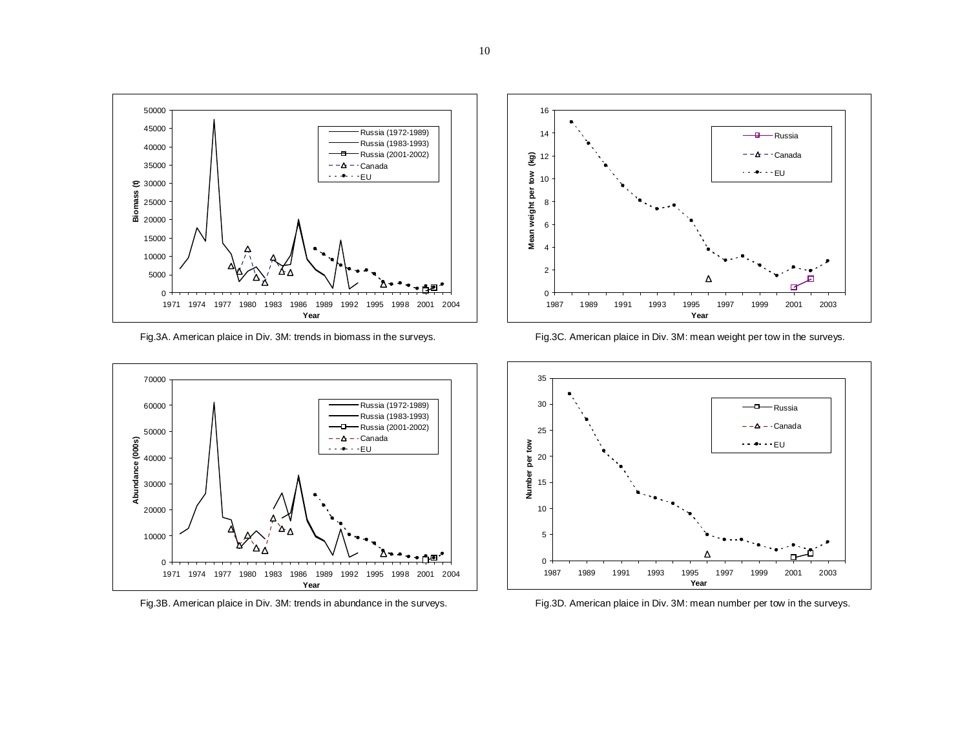





Fig.3A. American plaice in Div. 3M: trends in biomass in the surveys. Fig.3C. American plaice in Div. 3M: mean weight per tow in the surveys.



Fig.3B. American plaice in Div. 3M: trends in abundance in the surveys. Fig.3D. American plaice in Div. 3M: mean number per tow in the surveys.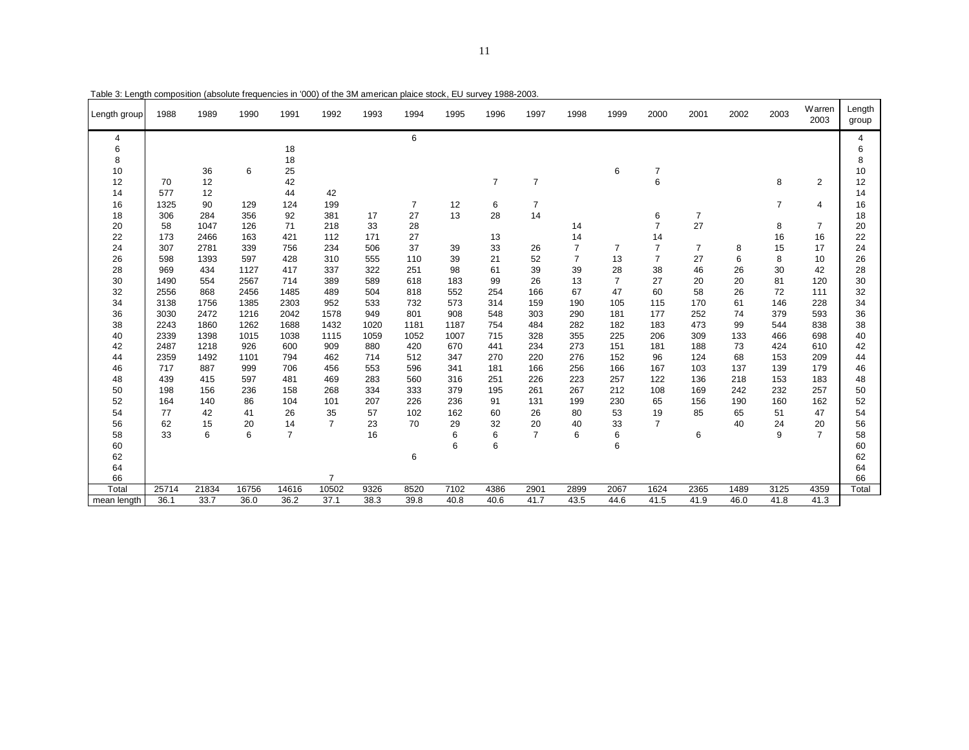| Length group | 1988  | 1989  | 1990  | 1991           | 1992           | 1993 | 1994           | 1995 | 1996           | 1997           | 1998           | 1999           | 2000           | 2001           | 2002 | 2003           | Warren<br>2003 | Length<br>group |
|--------------|-------|-------|-------|----------------|----------------|------|----------------|------|----------------|----------------|----------------|----------------|----------------|----------------|------|----------------|----------------|-----------------|
| 4            |       |       |       |                |                |      | 6              |      |                |                |                |                |                |                |      |                |                | 4               |
| 6            |       |       |       | 18             |                |      |                |      |                |                |                |                |                |                |      |                |                | 6               |
| 8            |       |       |       | 18             |                |      |                |      |                |                |                |                |                |                |      |                |                | 8               |
| 10           |       | 36    | 6     | 25             |                |      |                |      |                |                |                | 6              | $\overline{7}$ |                |      |                |                | 10              |
| 12           | 70    | 12    |       | 42             |                |      |                |      | $\overline{7}$ | $\overline{7}$ |                |                | 6              |                |      | 8              | $\overline{2}$ | 12              |
| 14           | 577   | 12    |       | 44             | 42             |      |                |      |                |                |                |                |                |                |      |                |                | 14              |
| 16           | 1325  | 90    | 129   | 124            | 199            |      | $\overline{7}$ | 12   | 6              | 7              |                |                |                |                |      | $\overline{7}$ | 4              | 16              |
| 18           | 306   | 284   | 356   | 92             | 381            | 17   | 27             | 13   | 28             | 14             |                |                | 6              | $\overline{7}$ |      |                |                | 18              |
| 20           | 58    | 1047  | 126   | 71             | 218            | 33   | 28             |      |                |                | 14             |                | $\overline{7}$ | 27             |      | 8              | $\overline{7}$ | 20              |
| 22           | 173   | 2466  | 163   | 421            | 112            | 171  | 27             |      | 13             |                | 14             |                | 14             |                |      | 16             | 16             | 22              |
| 24           | 307   | 2781  | 339   | 756            | 234            | 506  | 37             | 39   | 33             | 26             | $\overline{7}$ | 7              | $\overline{7}$ | $\overline{7}$ | 8    | 15             | 17             | 24              |
| 26           | 598   | 1393  | 597   | 428            | 310            | 555  | 110            | 39   | 21             | 52             | $\overline{7}$ | 13             | $\overline{7}$ | 27             | 6    | 8              | 10             | 26              |
| 28           | 969   | 434   | 1127  | 417            | 337            | 322  | 251            | 98   | 61             | 39             | 39             | 28             | 38             | 46             | 26   | 30             | 42             | 28              |
| 30           | 1490  | 554   | 2567  | 714            | 389            | 589  | 618            | 183  | 99             | 26             | 13             | $\overline{7}$ | 27             | 20             | 20   | 81             | 120            | 30              |
| 32           | 2556  | 868   | 2456  | 1485           | 489            | 504  | 818            | 552  | 254            | 166            | 67             | 47             | 60             | 58             | 26   | 72             | 111            | 32              |
| 34           | 3138  | 1756  | 1385  | 2303           | 952            | 533  | 732            | 573  | 314            | 159            | 190            | 105            | 115            | 170            | 61   | 146            | 228            | 34              |
| 36           | 3030  | 2472  | 1216  | 2042           | 1578           | 949  | 801            | 908  | 548            | 303            | 290            | 181            | 177            | 252            | 74   | 379            | 593            | 36              |
| 38           | 2243  | 1860  | 1262  | 1688           | 1432           | 1020 | 1181           | 1187 | 754            | 484            | 282            | 182            | 183            | 473            | 99   | 544            | 838            | 38              |
| 40           | 2339  | 1398  | 1015  | 1038           | 1115           | 1059 | 1052           | 1007 | 715            | 328            | 355            | 225            | 206            | 309            | 133  | 466            | 698            | 40              |
| 42           | 2487  | 1218  | 926   | 600            | 909            | 880  | 420            | 670  | 441            | 234            | 273            | 151            | 181            | 188            | 73   | 424            | 610            | 42              |
| 44           | 2359  | 1492  | 1101  | 794            | 462            | 714  | 512            | 347  | 270            | 220            | 276            | 152            | 96             | 124            | 68   | 153            | 209            | 44              |
| 46           | 717   | 887   | 999   | 706            | 456            | 553  | 596            | 341  | 181            | 166            | 256            | 166            | 167            | 103            | 137  | 139            | 179            | 46              |
| 48           | 439   | 415   | 597   | 481            | 469            | 283  | 560            | 316  | 251            | 226            | 223            | 257            | 122            | 136            | 218  | 153            | 183            | 48              |
| 50           | 198   | 156   | 236   | 158            | 268            | 334  | 333            | 379  | 195            | 261            | 267            | 212            | 108            | 169            | 242  | 232            | 257            | 50              |
| 52           | 164   | 140   | 86    | 104            | 101            | 207  | 226            | 236  | 91             | 131            | 199            | 230            | 65             | 156            | 190  | 160            | 162            | 52              |
| 54           | 77    | 42    | 41    | 26             | 35             | 57   | 102            | 162  | 60             | 26             | 80             | 53             | 19             | 85             | 65   | 51             | 47             | 54              |
| 56           | 62    | 15    | 20    | 14             | $\overline{7}$ | 23   | 70             | 29   | 32             | 20             | 40             | 33             | $\overline{7}$ |                | 40   | 24             | 20             | 56              |
| 58           | 33    | 6     | 6     | $\overline{7}$ |                | 16   |                | 6    | 6              | $\overline{7}$ | 6              | 6              |                | 6              |      | 9              | $\overline{7}$ | 58              |
| 60           |       |       |       |                |                |      |                | 6    | 6              |                |                | 6              |                |                |      |                |                | 60              |
| 62           |       |       |       |                |                |      | 6              |      |                |                |                |                |                |                |      |                |                | 62              |
| 64           |       |       |       |                |                |      |                |      |                |                |                |                |                |                |      |                |                | 64              |
| 66           |       |       |       |                | $\overline{7}$ |      |                |      |                |                |                |                |                |                |      |                |                | 66              |
| Total        | 25714 | 21834 | 16756 | 14616          | 10502          | 9326 | 8520           | 7102 | 4386           | 2901           | 2899           | 2067           | 1624           | 2365           | 1489 | 3125           | 4359           | Total           |
| mean length  | 36.1  | 33.7  | 36.0  | 36.2           | 37.1           | 38.3 | 39.8           | 40.8 | 40.6           | 41.7           | 43.5           | 44.6           | 41.5           | 41.9           | 46.0 | 41.8           | 41.3           |                 |

Table 3: Length composition (absolute frequencies in '000) of the 3M american plaice stock, EU survey 1988-2003.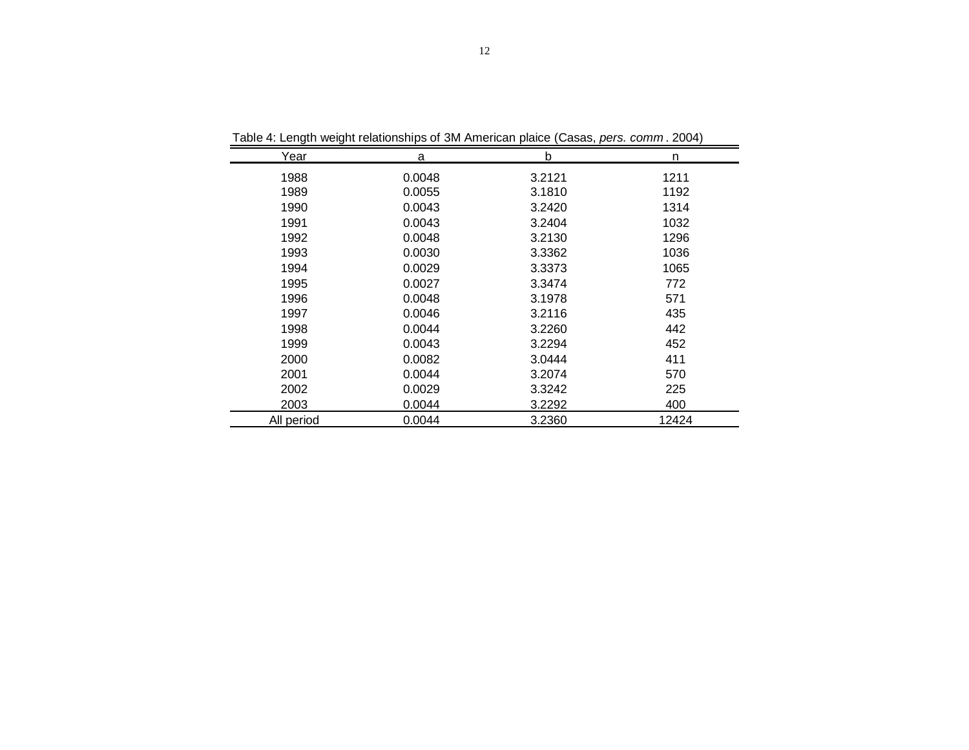| Year       | a      | b      | n     |
|------------|--------|--------|-------|
| 1988       | 0.0048 | 3.2121 | 1211  |
| 1989       | 0.0055 | 3.1810 | 1192  |
| 1990       | 0.0043 | 3.2420 | 1314  |
| 1991       | 0.0043 | 3.2404 | 1032  |
| 1992       | 0.0048 | 3.2130 | 1296  |
| 1993       | 0.0030 | 3.3362 | 1036  |
| 1994       | 0.0029 | 3.3373 | 1065  |
| 1995       | 0.0027 | 3.3474 | 772   |
| 1996       | 0.0048 | 3.1978 | 571   |
| 1997       | 0.0046 | 3.2116 | 435   |
| 1998       | 0.0044 | 3.2260 | 442   |
| 1999       | 0.0043 | 3.2294 | 452   |
| 2000       | 0.0082 | 3.0444 | 411   |
| 2001       | 0.0044 | 3.2074 | 570   |
| 2002       | 0.0029 | 3.3242 | 225   |
| 2003       | 0.0044 | 3.2292 | 400   |
| All period | 0.0044 | 3.2360 | 12424 |

Table 4: Length weight relationships of 3M American plaice (Casas, *pers. comm* . 2004)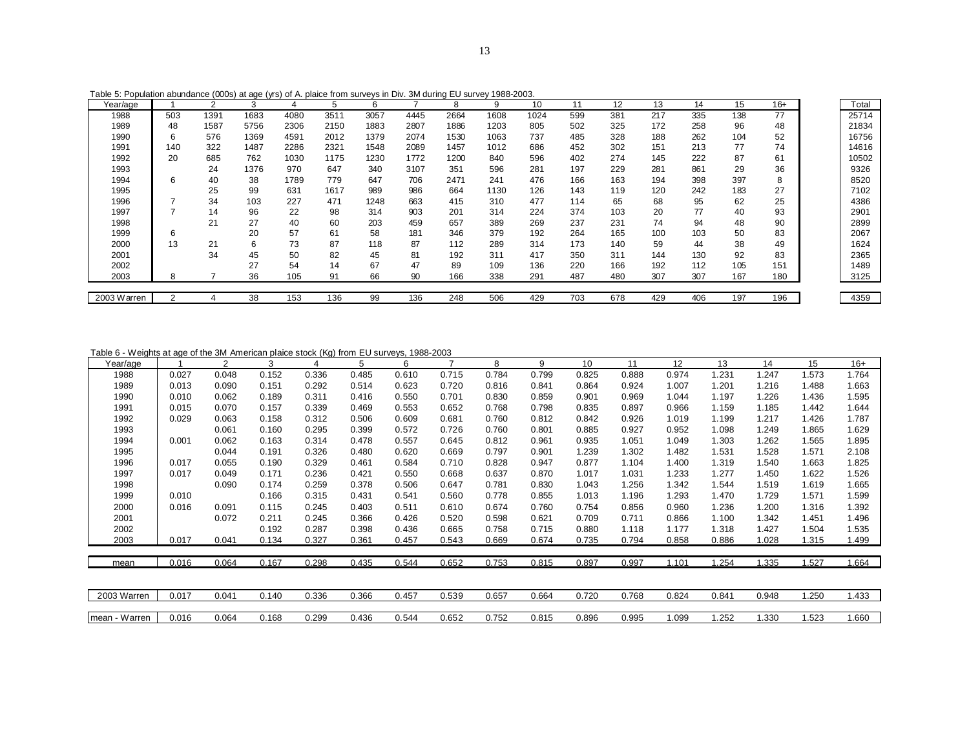| Table 5: Population abundance (000s) at age (yrs) of A. plaice from surveys in Div. 3M during EU survey 1988-2003. |
|--------------------------------------------------------------------------------------------------------------------|
|--------------------------------------------------------------------------------------------------------------------|

| Year/age    |                | 2    | 3    | 4    | 5    | 6    |      | 8    | 9    | 10   | 11  | 12  | 13  | 14  | 15  | $16+$ | Total |
|-------------|----------------|------|------|------|------|------|------|------|------|------|-----|-----|-----|-----|-----|-------|-------|
| 1988        | 503            | 1391 | 1683 | 4080 | 3511 | 3057 | 4445 | 2664 | 1608 | 1024 | 599 | 381 | 217 | 335 | 138 | 77    | 25714 |
| 1989        | 48             | 1587 | 5756 | 2306 | 2150 | 1883 | 2807 | 1886 | 1203 | 805  | 502 | 325 | 172 | 258 | 96  | 48    | 21834 |
| 1990        | 6              | 576  | 1369 | 4591 | 2012 | 1379 | 2074 | 1530 | 1063 | 737  | 485 | 328 | 188 | 262 | 104 | 52    | 16756 |
| 1991        | 140            | 322  | 1487 | 2286 | 2321 | 1548 | 2089 | 1457 | 1012 | 686  | 452 | 302 | 151 | 213 | 77  | 74    | 14616 |
| 1992        | 20             | 685  | 762  | 1030 | 1175 | 1230 | 1772 | 1200 | 840  | 596  | 402 | 274 | 145 | 222 | 87  | 61    | 10502 |
| 1993        |                | 24   | 1376 | 970  | 647  | 340  | 3107 | 351  | 596  | 281  | 197 | 229 | 281 | 861 | 29  | 36    | 9326  |
| 1994        | 6              | 40   | 38   | 1789 | 779  | 647  | 706  | 2471 | 241  | 476  | 166 | 163 | 194 | 398 | 397 | 8     | 8520  |
| 1995        |                | 25   | 99   | 631  | 1617 | 989  | 986  | 664  | 1130 | 126  | 143 | 119 | 120 | 242 | 183 | 27    | 7102  |
| 1996        |                | 34   | 103  | 227  | 471  | 1248 | 663  | 415  | 310  | 477  | 114 | 65  | 68  | 95  | 62  | 25    | 4386  |
| 1997        |                | 14   | 96   | 22   | 98   | 314  | 903  | 201  | 314  | 224  | 374 | 103 | 20  | 77  | 40  | 93    | 2901  |
| 1998        |                | 21   | 27   | 40   | 60   | 203  | 459  | 657  | 389  | 269  | 237 | 231 | 74  | 94  | 48  | 90    | 2899  |
| 1999        | 6              |      | 20   | 57   | 61   | 58   | 181  | 346  | 379  | 192  | 264 | 165 | 100 | 103 | 50  | 83    | 2067  |
| 2000        | 13             | 21   | 6    | 73   | 87   | 118  | 87   | 112  | 289  | 314  | 173 | 140 | 59  | 44  | 38  | 49    | 1624  |
| 2001        |                | 34   | 45   | 50   | 82   | 45   | 81   | 192  | 311  | 417  | 350 | 311 | 144 | 130 | 92  | 83    | 2365  |
| 2002        |                |      | 27   | 54   | 14   | 67   | 47   | 89   | 109  | 136  | 220 | 166 | 192 | 112 | 105 | 151   | 1489  |
| 2003        | 8              |      | 36   | 105  | 91   | 66   | 90   | 166  | 338  | 291  | 487 | 480 | 307 | 307 | 167 | 180   | 3125  |
|             |                |      |      |      |      |      |      |      |      |      |     |     |     |     |     |       |       |
| 2003 Warren | $\overline{2}$ |      | 38   | 153  | 136  | 99   | 136  | 248  | 506  | 429  | 703 | 678 | 429 | 406 | 197 | 196   | 4359  |

Table 6 - Weights at age of the 3M American plaice stock (Kg) from EU surveys, 1988-2003

| Year/age       |       | 2     | 3     |       | 5     | 6     | $\overline{7}$ | 8     | 9     | 10    | 11    | 12    | 13    | 14    | 15    | $16+$ |
|----------------|-------|-------|-------|-------|-------|-------|----------------|-------|-------|-------|-------|-------|-------|-------|-------|-------|
| 1988           | 0.027 | 0.048 | 0.152 | 0.336 | 0.485 | 0.610 | 0.715          | 0.784 | 0.799 | 0.825 | 0.888 | 0.974 | 1.231 | 1.247 | 1.573 | 1.764 |
| 1989           | 0.013 | 0.090 | 0.151 | 0.292 | 0.514 | 0.623 | 0.720          | 0.816 | 0.841 | 0.864 | 0.924 | 1.007 | 1.201 | 1.216 | 1.488 | 1.663 |
| 1990           | 0.010 | 0.062 | 0.189 | 0.311 | 0.416 | 0.550 | 0.701          | 0.830 | 0.859 | 0.901 | 0.969 | 1.044 | 1.197 | 1.226 | 1.436 | 1.595 |
| 1991           | 0.015 | 0.070 | 0.157 | 0.339 | 0.469 | 0.553 | 0.652          | 0.768 | 0.798 | 0.835 | 0.897 | 0.966 | 1.159 | 1.185 | 1.442 | 1.644 |
| 1992           | 0.029 | 0.063 | 0.158 | 0.312 | 0.506 | 0.609 | 0.681          | 0.760 | 0.812 | 0.842 | 0.926 | 1.019 | 1.199 | 1.217 | 1.426 | 1.787 |
| 1993           |       | 0.061 | 0.160 | 0.295 | 0.399 | 0.572 | 0.726          | 0.760 | 0.801 | 0.885 | 0.927 | 0.952 | 1.098 | 1.249 | 1.865 | 1.629 |
| 1994           | 0.001 | 0.062 | 0.163 | 0.314 | 0.478 | 0.557 | 0.645          | 0.812 | 0.961 | 0.935 | 1.051 | 1.049 | 1.303 | 1.262 | 1.565 | 1.895 |
| 1995           |       | 0.044 | 0.191 | 0.326 | 0.480 | 0.620 | 0.669          | 0.797 | 0.901 | 1.239 | 1.302 | 1.482 | 1.531 | 1.528 | 1.571 | 2.108 |
| 1996           | 0.017 | 0.055 | 0.190 | 0.329 | 0.461 | 0.584 | 0.710          | 0.828 | 0.947 | 0.877 | 1.104 | 1.400 | 1.319 | 1.540 | 1.663 | 1.825 |
| 1997           | 0.017 | 0.049 | 0.171 | 0.236 | 0.421 | 0.550 | 0.668          | 0.637 | 0.870 | 1.017 | 1.031 | 1.233 | 1.277 | 1.450 | 1.622 | 1.526 |
| 1998           |       | 0.090 | 0.174 | 0.259 | 0.378 | 0.506 | 0.647          | 0.781 | 0.830 | 1.043 | 1.256 | 1.342 | 1.544 | 1.519 | 1.619 | 1.665 |
| 1999           | 0.010 |       | 0.166 | 0.315 | 0.431 | 0.541 | 0.560          | 0.778 | 0.855 | 1.013 | 1.196 | 1.293 | 1.470 | 1.729 | 1.571 | 1.599 |
| 2000           | 0.016 | 0.091 | 0.115 | 0.245 | 0.403 | 0.511 | 0.610          | 0.674 | 0.760 | 0.754 | 0.856 | 0.960 | 1.236 | 1.200 | 1.316 | 1.392 |
| 2001           |       | 0.072 | 0.211 | 0.245 | 0.366 | 0.426 | 0.520          | 0.598 | 0.621 | 0.709 | 0.711 | 0.866 | 1.100 | 1.342 | 1.451 | 1.496 |
| 2002           |       |       | 0.192 | 0.287 | 0.398 | 0.436 | 0.665          | 0.758 | 0.715 | 0.880 | 1.118 | 1.177 | 1.318 | 1.427 | 1.504 | 1.535 |
| 2003           | 0.017 | 0.041 | 0.134 | 0.327 | 0.361 | 0.457 | 0.543          | 0.669 | 0.674 | 0.735 | 0.794 | 0.858 | 0.886 | 1.028 | 1.315 | 1.499 |
|                |       |       |       |       |       |       |                |       |       |       |       |       |       |       |       |       |
| mean           | 0.016 | 0.064 | 0.167 | 0.298 | 0.435 | 0.544 | 0.652          | 0.753 | 0.815 | 0.897 | 0.997 | 1.101 | 1.254 | 1.335 | 1.527 | 1.664 |
|                |       |       |       |       |       |       |                |       |       |       |       |       |       |       |       |       |
| 2003 Warren    | 0.017 | 0.041 | 0.140 | 0.336 | 0.366 | 0.457 | 0.539          | 0.657 | 0.664 | 0.720 | 0.768 | 0.824 | 0.841 | 0.948 | 1.250 | 1.433 |
| Imean - Warren | 0.016 | 0.064 | 0.168 | 0.299 | 0.436 | 0.544 | 0.652          | 0.752 | 0.815 | 0.896 | 0.995 | 0.099 | .252  | 1.330 | 1.523 | 066.  |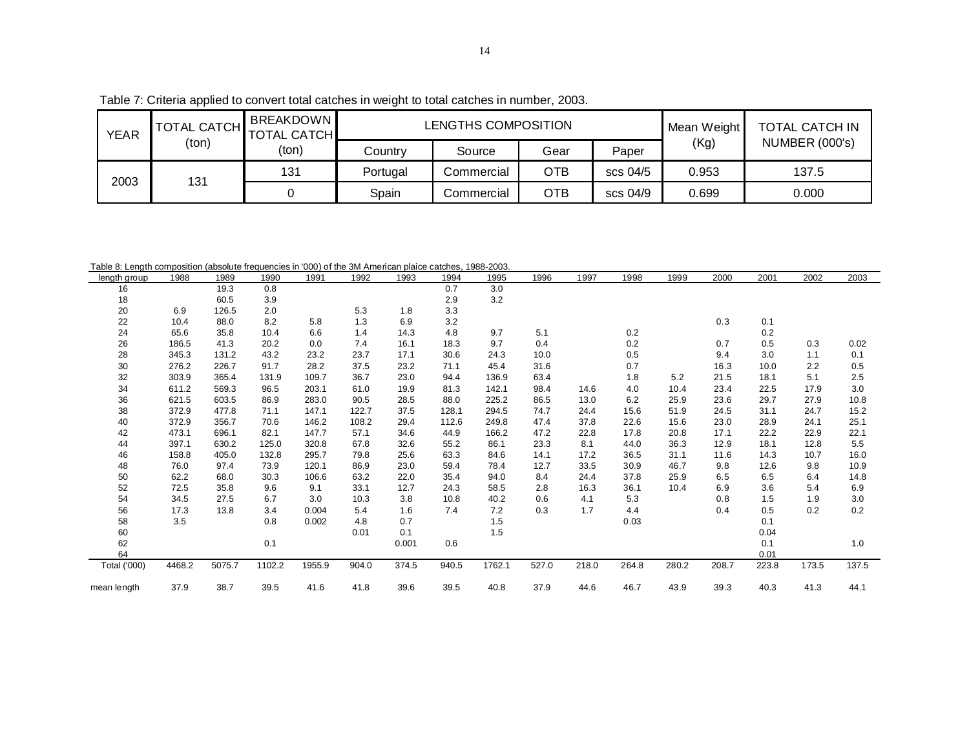| <b>YEAR</b> | <b>TOTAL CATCH</b> | <b>BREAKDOWN</b><br><b>TOTAL CATCH</b> |          | LENGTHS COMPOSITION |            |          | Mean Weight | TOTAL CATCH IN        |
|-------------|--------------------|----------------------------------------|----------|---------------------|------------|----------|-------------|-----------------------|
|             | (ton)              | (ton)                                  | Countrv  | Source              | Gear       | Paper    | (Kg)        | <b>NUMBER (000's)</b> |
| 2003        | 131                | 131                                    | Portugal | Commercial          | <b>OTB</b> | scs 04/5 | 0.953       | 137.5                 |
|             |                    |                                        | Spain    | Commercial          | <b>OTB</b> | scs 04/9 | 0.699       | 0.000                 |

Table 8: Length composition (absolute frequencies in '000) of the 3M American plaice catches, 1988-2003.

| rable 6. Lengin composition (absolute requencies in '000) or the 3M American plance catches, 1966-2003.<br>lenath aroup | 1988   | 1989   | 1990   | 1991   | 1992  | 1993  | 1994  | 1995   | 1996  | 1997  | 1998  | 1999  | 2000  | 2001  | 2002  | 2003  |
|-------------------------------------------------------------------------------------------------------------------------|--------|--------|--------|--------|-------|-------|-------|--------|-------|-------|-------|-------|-------|-------|-------|-------|
| 16                                                                                                                      |        | 19.3   | 0.8    |        |       |       | 0.7   | 3.0    |       |       |       |       |       |       |       |       |
| 18                                                                                                                      |        | 60.5   | 3.9    |        |       |       | 2.9   | 3.2    |       |       |       |       |       |       |       |       |
| 20                                                                                                                      | 6.9    | 126.5  | 2.0    |        | 5.3   | 1.8   | 3.3   |        |       |       |       |       |       |       |       |       |
| 22                                                                                                                      | 10.4   | 88.0   | 8.2    | 5.8    | 1.3   | 6.9   | 3.2   |        |       |       |       |       | 0.3   | 0.1   |       |       |
| 24                                                                                                                      | 65.6   | 35.8   | 10.4   | 6.6    | 1.4   | 14.3  | 4.8   | 9.7    | 5.1   |       | 0.2   |       |       | 0.2   |       |       |
| 26                                                                                                                      | 186.5  | 41.3   | 20.2   | 0.0    | 7.4   | 16.1  | 18.3  | 9.7    | 0.4   |       | 0.2   |       | 0.7   | 0.5   | 0.3   | 0.02  |
| 28                                                                                                                      | 345.3  | 131.2  | 43.2   | 23.2   | 23.7  | 17.1  | 30.6  | 24.3   | 10.0  |       | 0.5   |       | 9.4   | 3.0   | 1.1   | 0.1   |
| 30                                                                                                                      | 276.2  | 226.7  | 91.7   | 28.2   | 37.5  | 23.2  | 71.1  | 45.4   | 31.6  |       | 0.7   |       | 16.3  | 10.0  | 2.2   | 0.5   |
| 32                                                                                                                      | 303.9  | 365.4  | 131.9  | 109.7  | 36.7  | 23.0  | 94.4  | 136.9  | 63.4  |       | 1.8   | 5.2   | 21.5  | 18.1  | 5.1   | 2.5   |
| 34                                                                                                                      | 611.2  | 569.3  | 96.5   | 203.1  | 61.0  | 19.9  | 81.3  | 142.1  | 98.4  | 14.6  | 4.0   | 10.4  | 23.4  | 22.5  | 17.9  | 3.0   |
| 36                                                                                                                      | 621.5  | 603.5  | 86.9   | 283.0  | 90.5  | 28.5  | 88.0  | 225.2  | 86.5  | 13.0  | 6.2   | 25.9  | 23.6  | 29.7  | 27.9  | 10.8  |
| 38                                                                                                                      | 372.9  | 477.8  | 71.1   | 147.1  | 122.7 | 37.5  | 128.1 | 294.5  | 74.7  | 24.4  | 15.6  | 51.9  | 24.5  | 31.1  | 24.7  | 15.2  |
| 40                                                                                                                      | 372.9  | 356.7  | 70.6   | 146.2  | 108.2 | 29.4  | 112.6 | 249.8  | 47.4  | 37.8  | 22.6  | 15.6  | 23.0  | 28.9  | 24.1  | 25.1  |
| 42                                                                                                                      | 473.1  | 696.1  | 82.1   | 147.7  | 57.1  | 34.6  | 44.9  | 166.2  | 47.2  | 22.8  | 17.8  | 20.8  | 17.1  | 22.2  | 22.9  | 22.1  |
| 44                                                                                                                      | 397.1  | 630.2  | 125.0  | 320.8  | 67.8  | 32.6  | 55.2  | 86.1   | 23.3  | 8.1   | 44.0  | 36.3  | 12.9  | 18.1  | 12.8  | 5.5   |
| 46                                                                                                                      | 158.8  | 405.0  | 132.8  | 295.7  | 79.8  | 25.6  | 63.3  | 84.6   | 14.1  | 17.2  | 36.5  | 31.1  | 11.6  | 14.3  | 10.7  | 16.0  |
| 48                                                                                                                      | 76.0   | 97.4   | 73.9   | 120.1  | 86.9  | 23.0  | 59.4  | 78.4   | 12.7  | 33.5  | 30.9  | 46.7  | 9.8   | 12.6  | 9.8   | 10.9  |
| 50                                                                                                                      | 62.2   | 68.0   | 30.3   | 106.6  | 63.2  | 22.0  | 35.4  | 94.0   | 8.4   | 24.4  | 37.8  | 25.9  | 6.5   | 6.5   | 6.4   | 14.8  |
| 52                                                                                                                      | 72.5   | 35.8   | 9.6    | 9.1    | 33.1  | 12.7  | 24.3  | 58.5   | 2.8   | 16.3  | 36.1  | 10.4  | 6.9   | 3.6   | 5.4   | 6.9   |
| 54                                                                                                                      | 34.5   | 27.5   | 6.7    | 3.0    | 10.3  | 3.8   | 10.8  | 40.2   | 0.6   | 4.1   | 5.3   |       | 0.8   | 1.5   | 1.9   | 3.0   |
| 56                                                                                                                      | 17.3   | 13.8   | 3.4    | 0.004  | 5.4   | 1.6   | 7.4   | 7.2    | 0.3   | 1.7   | 4.4   |       | 0.4   | 0.5   | 0.2   | 0.2   |
| 58                                                                                                                      | 3.5    |        | 0.8    | 0.002  | 4.8   | 0.7   |       | 1.5    |       |       | 0.03  |       |       | 0.1   |       |       |
| 60                                                                                                                      |        |        |        |        | 0.01  | 0.1   |       | 1.5    |       |       |       |       |       | 0.04  |       |       |
| 62                                                                                                                      |        |        | 0.1    |        |       | 0.001 | 0.6   |        |       |       |       |       |       | 0.1   |       | 1.0   |
| 64                                                                                                                      |        |        |        |        |       |       |       |        |       |       |       |       |       | 0.01  |       |       |
| Total ('000)                                                                                                            | 4468.2 | 5075.7 | 1102.2 | 1955.9 | 904.0 | 374.5 | 940.5 | 1762.1 | 527.0 | 218.0 | 264.8 | 280.2 | 208.7 | 223.8 | 173.5 | 137.5 |
| mean length                                                                                                             | 37.9   | 38.7   | 39.5   | 41.6   | 41.8  | 39.6  | 39.5  | 40.8   | 37.9  | 44.6  | 46.7  | 43.9  | 39.3  | 40.3  | 41.3  | 44.1  |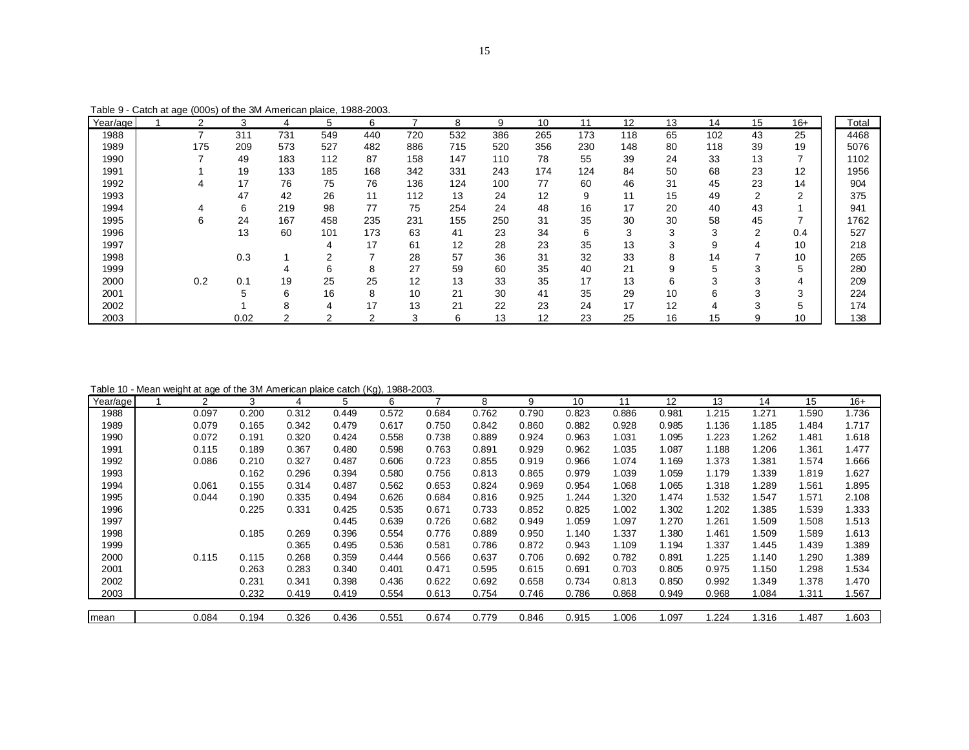Table 9 - Catch at age (000s) of the 3M American plaice, 1988-2003.

| Year/age | ◠   | 3               |     |     | 6   |     | 8   | 9   | 10  | 11  | 12  | 13     | 14  | 15 | $16+$ | Total |
|----------|-----|-----------------|-----|-----|-----|-----|-----|-----|-----|-----|-----|--------|-----|----|-------|-------|
| 1988     |     | 311             | 731 | 549 | 440 | 720 | 532 | 386 | 265 | 173 | 118 | 65     | 102 | 43 | 25    | 4468  |
| 1989     | 175 | 209             | 573 | 527 | 482 | 886 | 715 | 520 | 356 | 230 | 148 | 80     | 118 | 39 | 19    | 5076  |
| 1990     |     | 49              | 183 | 112 | 87  | 158 | 147 | 110 | 78  | 55  | 39  | 24     | 33  | 13 |       | 1102  |
| 1991     |     | 19              | 133 | 185 | 168 | 342 | 331 | 243 | 174 | 124 | 84  | 50     | 68  | 23 | 12    | 1956  |
| 1992     |     | 17              | 76  | 75  | 76  | 136 | 124 | 100 | 77  | 60  | 46  | 31     | 45  | 23 | 14    | 904   |
| 1993     |     | 47              | 42  | 26  | 11  | 112 | 13  | 24  | 12  | 9   |     | 15     | 49  | 2  | ◠     | 375   |
| 1994     |     | $\sqrt{2}$<br>6 | 219 | 98  | 77  | 75  | 254 | 24  | 48  | 16  | 17  | 20     | 40  | 43 |       | 941   |
| 1995     | 6   | 24              | 167 | 458 | 235 | 231 | 155 | 250 | 31  | 35  | 30  | 30     | 58  | 45 |       | 1762  |
| 1996     |     | 13              | 60  | 101 | 173 | 63  | 41  | 23  | 34  | 6   | 3   | $\sim$ | 3   | ◠  | 0.4   | 527   |
| 1997     |     |                 |     |     | 17  | 61  | 12  | 28  | 23  | 35  | 13  | ٠J.    | g   | 4  | 10    | 218   |
| 1998     |     | 0.3             |     |     |     | 28  | 57  | 36  | 31  | 32  | 33  | 8      | 14  |    | 10    | 265   |
| 1999     |     |                 |     |     |     | 27  | 59  | 60  | 35  | 40  | 21  | 9      |     |    |       | 280   |
| 2000     | 0.2 | 0.1             | 19  | 25  | 25  | 12  | 13  | 33  | 35  | 17  | 13  | 6      | 3   | 3  | 4     | 209   |
| 2001     |     | :5              |     | 16  | 8   | 10  | 21  | 30  | 41  | 35  | 29  | 10     | h   |    | З     | 224   |
| 2002     |     |                 |     |     | 17  | 13  | 21  | 22  | 23  | 24  | 17  | 12     |     | ◠  |       | 174   |
| 2003     |     | 0.02            |     |     |     | 3   | 6   | 13  | 12  | 23  | 25  | 16     | 15  | 9  | 10    | 138   |

Table 10 - Mean weight at age of the 3M American plaice catch (Kg), 1988-2003.

| Year/age | C     | 3     | 4     | 5     | 6     |       | 8     | 9     | 10    | 11    | 12    | 13    | 14    | 15    | $16+$ |
|----------|-------|-------|-------|-------|-------|-------|-------|-------|-------|-------|-------|-------|-------|-------|-------|
| 1988     | 0.097 | 0.200 | 0.312 | 0.449 | 0.572 | 0.684 | 0.762 | 0.790 | 0.823 | 0.886 | 0.981 | 1.215 | 1.271 | 1.590 | 1.736 |
| 1989     | 0.079 | 0.165 | 0.342 | 0.479 | 0.617 | 0.750 | 0.842 | 0.860 | 0.882 | 0.928 | 0.985 | 1.136 | 1.185 | 1.484 | 1.717 |
| 1990     | 0.072 | 0.191 | 0.320 | 0.424 | 0.558 | 0.738 | 0.889 | 0.924 | 0.963 | 1.031 | 1.095 | 1.223 | 1.262 | 1.481 | 1.618 |
| 1991     | 0.115 | 0.189 | 0.367 | 0.480 | 0.598 | 0.763 | 0.891 | 0.929 | 0.962 | 1.035 | 1.087 | 1.188 | 1.206 | 1.361 | 1.477 |
| 1992     | 0.086 | 0.210 | 0.327 | 0.487 | 0.606 | 0.723 | 0.855 | 0.919 | 0.966 | 1.074 | 1.169 | 1.373 | 1.381 | 1.574 | 1.666 |
| 1993     |       | 0.162 | 0.296 | 0.394 | 0.580 | 0.756 | 0.813 | 0.865 | 0.979 | 1.039 | 1.059 | 1.179 | 1.339 | 1.819 | 1.627 |
| 1994     | 0.061 | 0.155 | 0.314 | 0.487 | 0.562 | 0.653 | 0.824 | 0.969 | 0.954 | 1.068 | 1.065 | 1.318 | 1.289 | 1.561 | 1.895 |
| 1995     | 0.044 | 0.190 | 0.335 | 0.494 | 0.626 | 0.684 | 0.816 | 0.925 | 1.244 | 1.320 | 1.474 | 1.532 | 1.547 | 1.571 | 2.108 |
| 1996     |       | 0.225 | 0.331 | 0.425 | 0.535 | 0.671 | 0.733 | 0.852 | 0.825 | 1.002 | 1.302 | 1.202 | 1.385 | 1.539 | 1.333 |
| 1997     |       |       |       | 0.445 | 0.639 | 0.726 | 0.682 | 0.949 | 1.059 | 1.097 | 1.270 | 1.261 | 1.509 | 1.508 | 1.513 |
| 1998     |       | 0.185 | 0.269 | 0.396 | 0.554 | 0.776 | 0.889 | 0.950 | 1.140 | 1.337 | 1.380 | 1.461 | 1.509 | 1.589 | 1.613 |
| 1999     |       |       | 0.365 | 0.495 | 0.536 | 0.581 | 0.786 | 0.872 | 0.943 | 1.109 | 1.194 | 1.337 | 1.445 | 1.439 | 1.389 |
| 2000     | 0.115 | 0.115 | 0.268 | 0.359 | 0.444 | 0.566 | 0.637 | 0.706 | 0.692 | 0.782 | 0.891 | 1.225 | 1.140 | 1.290 | 1.389 |
| 2001     |       | 0.263 | 0.283 | 0.340 | 0.401 | 0.471 | 0.595 | 0.615 | 0.691 | 0.703 | 0.805 | 0.975 | 1.150 | 1.298 | 1.534 |
| 2002     |       | 0.231 | 0.341 | 0.398 | 0.436 | 0.622 | 0.692 | 0.658 | 0.734 | 0.813 | 0.850 | 0.992 | 1.349 | 1.378 | 1.470 |
| 2003     |       | 0.232 | 0.419 | 0.419 | 0.554 | 0.613 | 0.754 | 0.746 | 0.786 | 0.868 | 0.949 | 0.968 | 1.084 | 1.311 | 1.567 |
|          |       |       |       |       |       |       |       |       |       |       |       |       |       |       |       |
| mean     | 0.084 | 0.194 | 0.326 | 0.436 | 0.551 | 0.674 | 0.779 | 0.846 | 0.915 | 1.006 | 1.097 | 1.224 | 1.316 | 1.487 | 1.603 |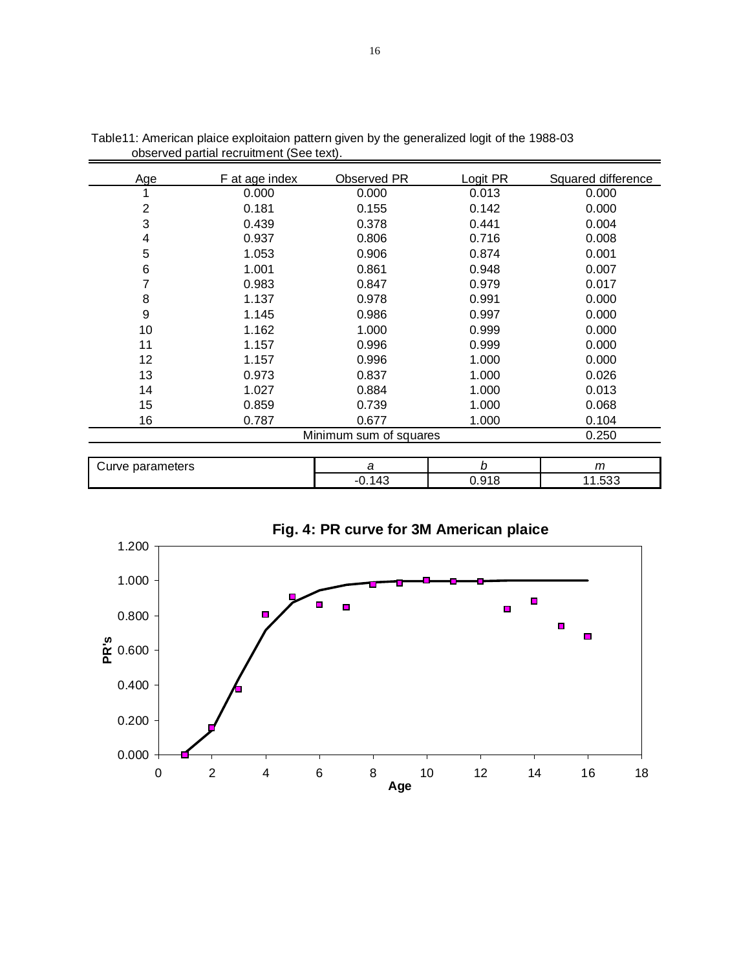| Age | F at age index | Observed PR            | Logit PR | Squared difference |
|-----|----------------|------------------------|----------|--------------------|
|     | 0.000          | 0.000                  | 0.013    | 0.000              |
| 2   | 0.181          | 0.155                  | 0.142    | 0.000              |
| 3   | 0.439          | 0.378                  | 0.441    | 0.004              |
| 4   | 0.937          | 0.806                  | 0.716    | 0.008              |
| 5   | 1.053          | 0.906                  | 0.874    | 0.001              |
| 6   | 1.001          | 0.861                  | 0.948    | 0.007              |
| 7   | 0.983          | 0.847                  | 0.979    | 0.017              |
| 8   | 1.137          | 0.978                  | 0.991    | 0.000              |
| 9   | 1.145          | 0.986                  | 0.997    | 0.000              |
| 10  | 1.162          | 1.000                  | 0.999    | 0.000              |
| 11  | 1.157          | 0.996                  | 0.999    | 0.000              |
| 12  | 1.157          | 0.996                  | 1.000    | 0.000              |
| 13  | 0.973          | 0.837                  | 1.000    | 0.026              |
| 14  | 1.027          | 0.884                  | 1.000    | 0.013              |
| 15  | 0.859          | 0.739                  | 1.000    | 0.068              |
| 16  | 0.787          | 0.677                  | 1.000    | 0.104              |
|     |                | Minimum sum of squares |          | 0.250              |
|     |                |                        |          |                    |

Table11: American plaice exploitaion pattern given by the generalized logit of the 1988-03 observed partial recruitment (See text).

| <br>۱n<br>чега<br>ve<br>. |      | $\sim$<br>. . |
|---------------------------|------|---------------|
|                           | ∩4 ∩ | -ົ            |



**Fig. 4: PR curve for 3M American plaice**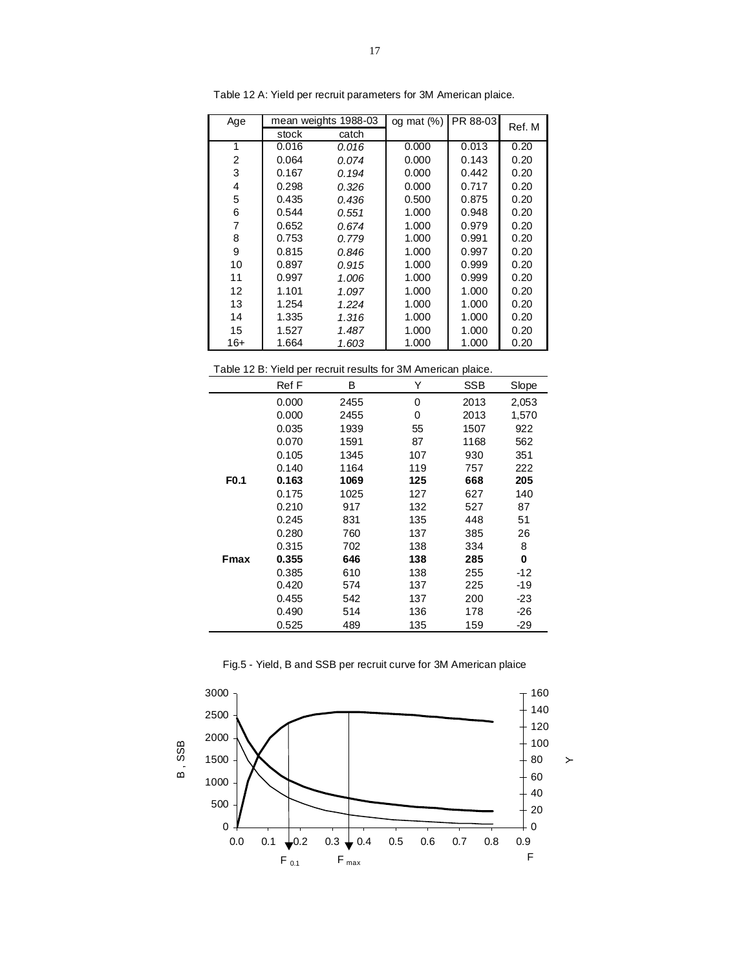| Age |       | mean weights 1988-03 | og mat $(\%)$ | PR 88-03 | Ref. M |
|-----|-------|----------------------|---------------|----------|--------|
|     | stock | catch                |               |          |        |
| 1   | 0.016 | 0.016                | 0.000         | 0.013    | 0.20   |
| 2   | 0.064 | 0.074                | 0.000         | 0.143    | 0.20   |
| 3   | 0.167 | 0.194                | 0.000         | 0.442    | 0.20   |
| 4   | 0.298 | 0.326                | 0.000         | 0.717    | 0.20   |
| 5   | 0.435 | 0.436                | 0.500         | 0.875    | 0.20   |
| 6   | 0.544 | 0.551                | 1.000         | 0.948    | 0.20   |
| 7   | 0.652 | 0.674                | 1.000         | 0.979    | 0.20   |
| 8   | 0.753 | 0.779                | 1.000         | 0.991    | 0.20   |
| 9   | 0.815 | 0.846                | 1.000         | 0.997    | 0.20   |
| 10  | 0.897 | 0.915                | 1.000         | 0.999    | 0.20   |
| 11  | 0.997 | 1.006                | 1.000         | 0.999    | 0.20   |
| 12  | 1.101 | 1.097                | 1.000         | 1.000    | 0.20   |
| 13  | 1.254 | 1.224                | 1.000         | 1.000    | 0.20   |
| 14  | 1.335 | 1.316                | 1.000         | 1.000    | 0.20   |
| 15  | 1.527 | 1.487                | 1.000         | 1.000    | 0.20   |
| 16+ | 1.664 | 1.603                | 1.000         | 1.000    | 0.20   |

Table 12 A: Yield per recruit parameters for 3M American plaice.

| Table 12 B: Yield per recruit results for 3M American plaice. |  |  |  |
|---------------------------------------------------------------|--|--|--|
|---------------------------------------------------------------|--|--|--|

|                  | Ref F | В    | Υ   | <b>SSB</b> | Slope |
|------------------|-------|------|-----|------------|-------|
|                  | 0.000 | 2455 | 0   | 2013       | 2,053 |
|                  | 0.000 | 2455 | 0   | 2013       | 1,570 |
|                  | 0.035 | 1939 | 55  | 1507       | 922   |
|                  | 0.070 | 1591 | 87  | 1168       | 562   |
|                  | 0.105 | 1345 | 107 | 930        | 351   |
|                  | 0.140 | 1164 | 119 | 757        | 222   |
| F <sub>0.1</sub> | 0.163 | 1069 | 125 | 668        | 205   |
|                  | 0.175 | 1025 | 127 | 627        | 140   |
|                  | 0.210 | 917  | 132 | 527        | 87    |
|                  | 0.245 | 831  | 135 | 448        | 51    |
|                  | 0.280 | 760  | 137 | 385        | 26    |
|                  | 0.315 | 702  | 138 | 334        | 8     |
| Fmax             | 0.355 | 646  | 138 | 285        | 0     |
|                  | 0.385 | 610  | 138 | 255        | -12   |
|                  | 0.420 | 574  | 137 | 225        | -19   |
|                  | 0.455 | 542  | 137 | 200        | -23   |
|                  | 0.490 | 514  | 136 | 178        | $-26$ |
|                  | 0.525 | 489  | 135 | 159        | -29   |

Fig.5 - Yield, B and SSB per recruit curve for 3M American plaice

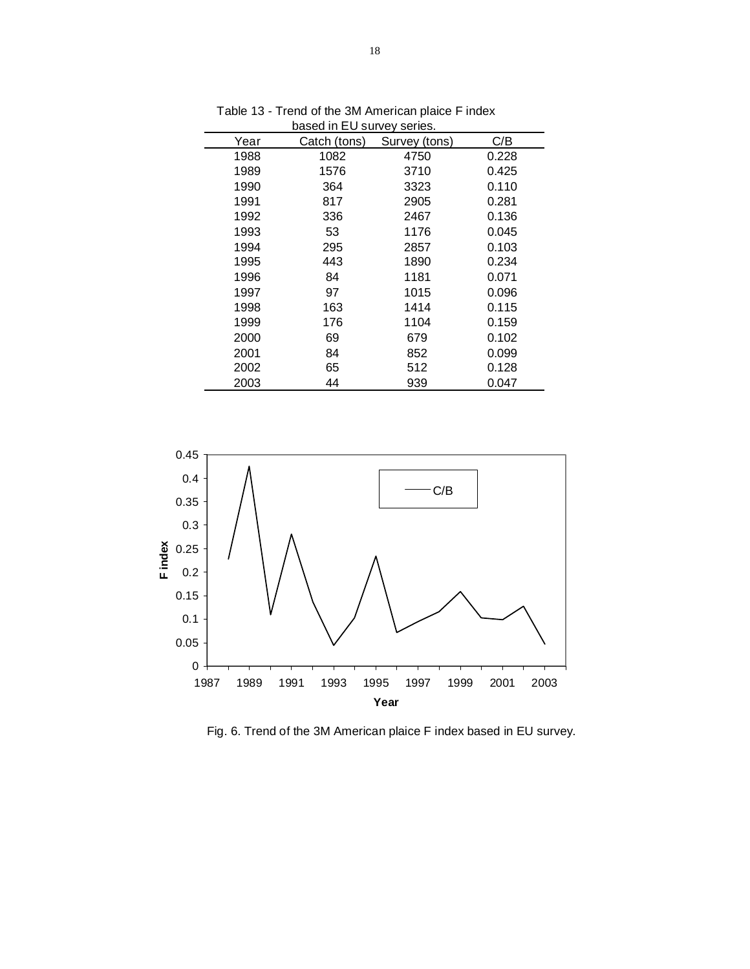|      | Dased in EU survey series. |               |       |
|------|----------------------------|---------------|-------|
| Year | Catch (tons)               | Survey (tons) | C/B   |
| 1988 | 1082                       | 4750          | 0.228 |
| 1989 | 1576                       | 3710          | 0.425 |
| 1990 | 364                        | 3323          | 0.110 |
| 1991 | 817                        | 2905          | 0.281 |
| 1992 | 336                        | 2467          | 0.136 |
| 1993 | 53                         | 1176          | 0.045 |
| 1994 | 295                        | 2857          | 0.103 |
| 1995 | 443                        | 1890          | 0.234 |
| 1996 | 84                         | 1181          | 0.071 |
| 1997 | 97                         | 1015          | 0.096 |
| 1998 | 163                        | 1414          | 0.115 |
| 1999 | 176                        | 1104          | 0.159 |
| 2000 | 69                         | 679           | 0.102 |
| 2001 | 84                         | 852           | 0.099 |
| 2002 | 65                         | 512           | 0.128 |
| 2003 | 44                         | 939           | 0.047 |

 Table 13 - Trend of the 3M American plaice F index based in EU survey series.



Fig. 6. Trend of the 3M American plaice F index based in EU survey.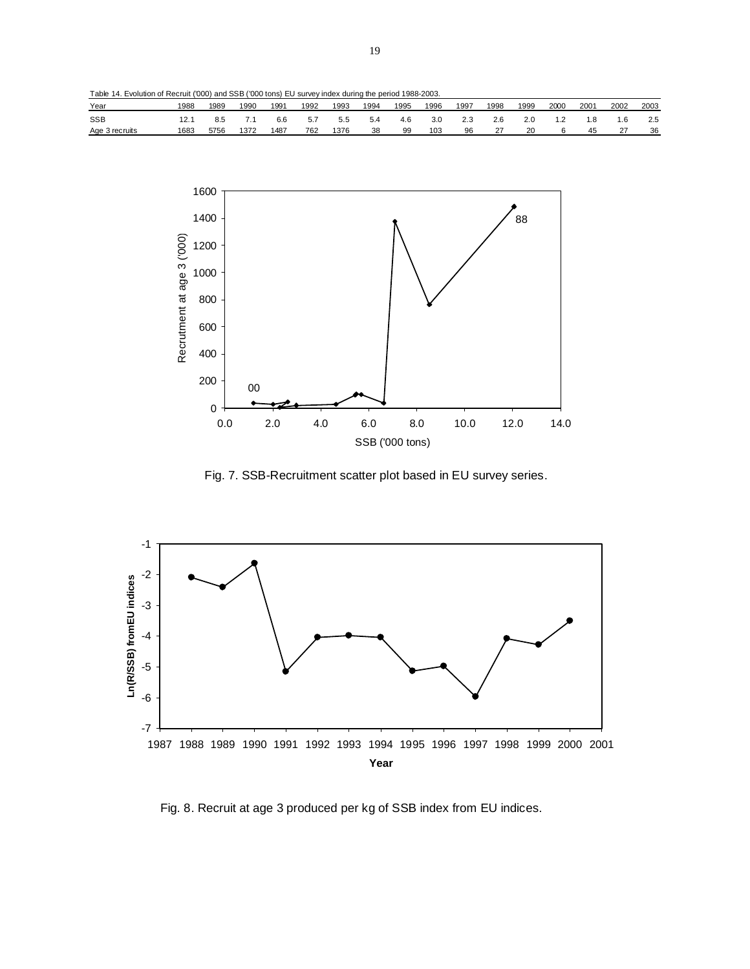Table 14. Evolution of Recruit ('000) and SSB ('000 tons) EU survey index during the period 1988-2003.

| Year           | 1988 | 1989 | 1990 | 1991 | 1992 | 1993 | 1994 | 1995 | 1996 | 1997 | 1998 | 1999 | 2000 | 2001  | 2002 | 2003 |
|----------------|------|------|------|------|------|------|------|------|------|------|------|------|------|-------|------|------|
| <b>SSB</b>     |      |      |      | 6.6  |      | 5.5  |      | 4.6  | 3.0  | د.٤  | 2.6  | 2.0  |      | . . 8 | .6   | 2.5  |
| Age 3 recruits | 1683 | 5756 | 1372 | 1487 | 762  | 1376 | 38   | 99   | 103  | 96   |      | 20   |      | 45    |      | 36   |



Fig. 7. SSB-Recruitment scatter plot based in EU survey series.



Fig. 8. Recruit at age 3 produced per kg of SSB index from EU indices.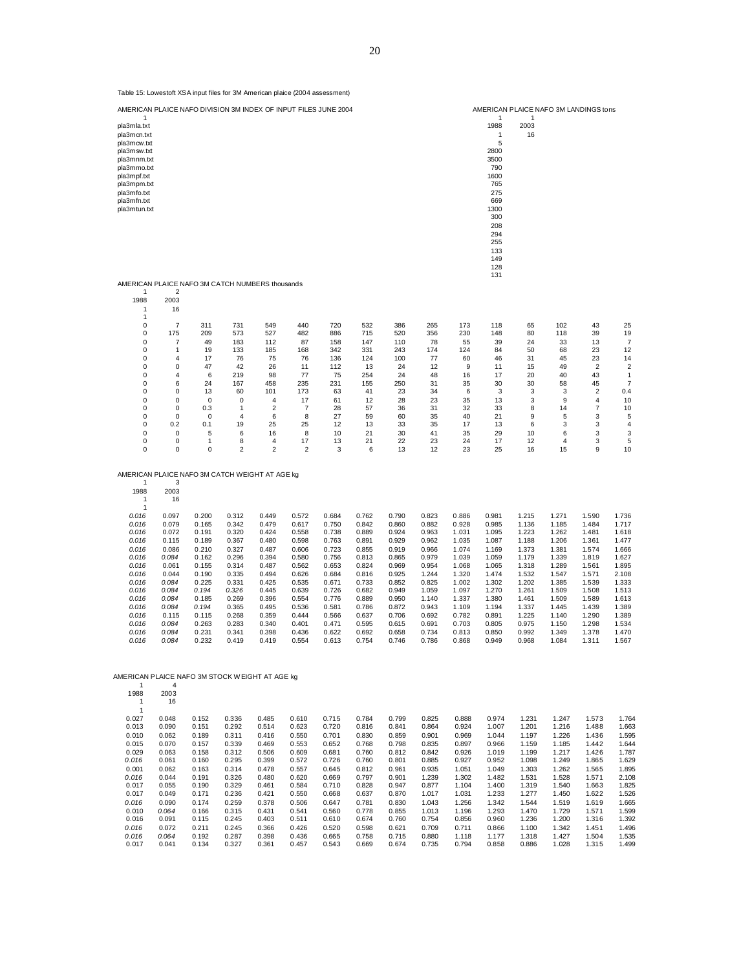| Table 15: Lowestoft XSA input files for 3M American plaice (2004 assessment)                                                                                            |                 |                |                 |                              |                      |                |                |                |                |                |                                                                                                                                         |                                       |                |                      |                  |
|-------------------------------------------------------------------------------------------------------------------------------------------------------------------------|-----------------|----------------|-----------------|------------------------------|----------------------|----------------|----------------|----------------|----------------|----------------|-----------------------------------------------------------------------------------------------------------------------------------------|---------------------------------------|----------------|----------------------|------------------|
| AMERICAN PLAICE NAFO DIVISION 3M INDEX OF INPUT FILES JUNE 2004                                                                                                         |                 |                |                 |                              |                      |                |                |                |                |                |                                                                                                                                         | AMERICAN PLAICE NAFO 3M LANDINGS tons |                |                      |                  |
| 1<br>pla3mla.txt<br>pla3mcn.txt<br>pla3mcw.txt<br>pla3msw.txt<br>pla3mnm.txt<br>pla3mmo.txt<br>pla3mpf.txt<br>pla3mpm.txt<br>pla3mfo.txt<br>pla3mfn.txt<br>pla3mtun.txt |                 |                |                 |                              |                      |                |                |                |                |                | 1<br>1988<br>1<br>5<br>2800<br>3500<br>790<br>1600<br>765<br>275<br>669<br>1300<br>300<br>208<br>294<br>255<br>133<br>149<br>128<br>131 | 1<br>2003<br>16                       |                |                      |                  |
| AMERICAN PLAICE NAFO 3M CATCH NUMBERS thousands<br>1                                                                                                                    | 2               |                |                 |                              |                      |                |                |                |                |                |                                                                                                                                         |                                       |                |                      |                  |
| 1988<br>1                                                                                                                                                               | 2003<br>16      |                |                 |                              |                      |                |                |                |                |                |                                                                                                                                         |                                       |                |                      |                  |
| 1<br>0                                                                                                                                                                  | 7               | 311            | 731             | 549                          | 440                  | 720            | 532            | 386            | 265            | 173            | 118                                                                                                                                     | 65                                    | 102            | 43                   | 25               |
| 0                                                                                                                                                                       | 175             | 209            | 573             | 527                          | 482                  | 886            | 715            | 520            | 356            | 230            | 148                                                                                                                                     | 80                                    | 118            | 39                   | 19               |
| 0<br>0                                                                                                                                                                  | 7<br>1          | 49<br>19       | 183<br>133      | 112<br>185                   | 87<br>168            | 158<br>342     | 147<br>331     | 110<br>243     | 78<br>174      | 55<br>124      | 39<br>84                                                                                                                                | 24<br>50                              | 33<br>68       | 13<br>23             | 7<br>12          |
| 0<br>0                                                                                                                                                                  | 4<br>0          | 17<br>47       | 76<br>42        | 75<br>26                     | 76<br>11             | 136<br>112     | 124<br>13      | 100<br>24      | 77<br>12       | 60<br>9        | 46<br>11                                                                                                                                | 31<br>15                              | 45<br>49       | 23<br>$\overline{2}$ | 14<br>$\sqrt{2}$ |
| 0                                                                                                                                                                       | 4               | 6              | 219             | 98                           | 77                   | 75             | 254            | 24             | 48             | 16             | 17                                                                                                                                      | 20                                    | 40             | 43                   | $\mathbf{1}$     |
| 0<br>0                                                                                                                                                                  | 6<br>0          | 24<br>13       | 167<br>60       | 458<br>101                   | 235<br>173           | 231<br>63      | 155<br>41      | 250<br>23      | 31<br>34       | 35<br>6        | 30<br>3                                                                                                                                 | 30<br>3                               | 58<br>3        | 45<br>2              | 7<br>0.4         |
| 0<br>0                                                                                                                                                                  | 0<br>0          | 0<br>0.3       | 0<br>1          | 4<br>2                       | 17<br>7              | 61<br>28       | 12<br>57       | 28<br>36       | 23<br>31       | 35<br>32       | 13<br>33                                                                                                                                | 3<br>8                                | 9<br>14        | 4<br>7               | 10<br>10         |
| 0                                                                                                                                                                       | 0               | 0              | $\overline{4}$  | 6                            | 8                    | 27             | 59             | 60             | 35             | 40             | 21                                                                                                                                      | 9                                     | 5              | 3                    | 5                |
| 0<br>0                                                                                                                                                                  | 0.2<br>0        | 0.1<br>5       | 19<br>6         | 25<br>16                     | 25<br>8              | 12<br>10       | 13<br>21       | 33<br>30       | 35<br>41       | 17<br>35       | 13<br>29                                                                                                                                | 6<br>10                               | 3<br>6         | 3<br>3               | 4<br>3           |
| 0<br>0                                                                                                                                                                  | 0<br>0          | 1<br>0         | 8<br>$\sqrt{2}$ | 4<br>$\overline{\mathbf{c}}$ | 17<br>$\overline{2}$ | 13<br>3        | 21<br>6        | 22<br>13       | 23<br>12       | 24<br>23       | 17<br>25                                                                                                                                | 12<br>16                              | 4<br>15        | 3<br>9               | 5<br>10          |
| AMERICAN PLAICE NAFO 3M CATCH WEIGHT AT AGE kg<br>1                                                                                                                     | 3               |                |                 |                              |                      |                |                |                |                |                |                                                                                                                                         |                                       |                |                      |                  |
| 1988<br>1<br>$\mathbf{1}$                                                                                                                                               | 2003<br>16      |                |                 |                              |                      |                |                |                |                |                |                                                                                                                                         |                                       |                |                      |                  |
| 0.016<br>0.016                                                                                                                                                          | 0.097<br>0.079  | 0.200<br>0.165 | 0.312<br>0.342  | 0.449<br>0.479               | 0.572<br>0.617       | 0.684<br>0.750 | 0.762<br>0.842 | 0.790<br>0.860 | 0.823<br>0.882 | 0.886<br>0.928 | 0.981<br>0.985                                                                                                                          | 1.215<br>1.136                        | 1.271<br>1.185 | 1.590<br>1.484       | 1.736<br>1.717   |
| 0.016                                                                                                                                                                   | 0.072           | 0.191          | 0.320           | 0.424                        | 0.558                | 0.738          | 0.889          | 0.924          | 0.963          | 1.031          | 1.095                                                                                                                                   | 1.223                                 | 1.262          | 1.481                | 1.618            |
| 0.016<br>0.016                                                                                                                                                          | 0.115<br>0.086  | 0.189<br>0.210 | 0.367<br>0.327  | 0.480<br>0.487               | 0.598<br>0.606       | 0.763<br>0.723 | 0.891<br>0.855 | 0.929<br>0.919 | 0.962<br>0.966 | 1.035<br>1.074 | 1.087<br>1.169                                                                                                                          | 1.188<br>1.373                        | 1.206<br>1.381 | 1.361<br>1.574       | 1.477<br>1.666   |
| 0.016                                                                                                                                                                   | 0.084           | 0.162          | 0.296           | 0.394                        | 0.580                | 0.756          | 0.813          | 0.865          | 0.979          | 1.039          | 1.059                                                                                                                                   | 1.179                                 | 1.339          | 1.819                | 1.627            |
| 0.016<br>0.016                                                                                                                                                          | 0.061<br>0.044  | 0.155<br>0.190 | 0.314<br>0.335  | 0.487<br>0.494               | 0.562<br>0.626       | 0.653<br>0.684 | 0.824<br>0.816 | 0.969<br>0.925 | 0.954<br>1.244 | 1.068<br>1.320 | 1.065<br>1.474                                                                                                                          | 1.318<br>1.532                        | 1.289<br>1.547 | 1.561<br>1.571       | 1.895<br>2.108   |
| 0.016<br>0.016                                                                                                                                                          | 0.084           | 0.225<br>0.194 | 0.331<br>0.326  | 0.425<br>0.445               | 0.535<br>0.639       | 0.671          | 0.733<br>0.682 | 0.852<br>0.949 | 0.825<br>1.059 | 1.002<br>1.097 | 1.302<br>1.270                                                                                                                          | 1.202<br>1.261                        | 1.385<br>1.509 | 1.539<br>1.508       | 1.333            |
| 0.016                                                                                                                                                                   | 0.084<br>0.084  | 0.185          | 0.269           | 0.396                        | 0.554                | 0.726<br>0.776 | 0.889          | 0.950          | 1.140          | 1.337          | 1.380                                                                                                                                   | 1.461                                 | 1.509          | 1.589                | 1.513<br>1.613   |
| 0.016<br>0.016                                                                                                                                                          | 0.084<br>0.115  | 0.194<br>0.115 | 0.365<br>0.268  | 0.495<br>0.359               | 0.536<br>0.444       | 0.581<br>0.566 | 0.786<br>0.637 | 0.872<br>0.706 | 0.943<br>0.692 | 1.109<br>0.782 | 1.194<br>0.891                                                                                                                          | 1.337<br>1.225                        | 1.445<br>1.140 | 1.439<br>1.290       | 1.389<br>1.389   |
| 0.016                                                                                                                                                                   | 0.084           | 0.263          | 0.283           | 0.340                        | 0.401                | 0.471          | 0.595          | 0.615          | 0.691          | 0.703          | 0.805                                                                                                                                   | 0.975                                 | 1.150          | 1.298                | 1.534            |
| 0.016<br>0.016                                                                                                                                                          | 0.084<br>0.084  | 0.231<br>0.232 | 0.341<br>0.419  | 0.398<br>0.419               | 0.436<br>0.554       | 0.622<br>0.613 | 0.692<br>0.754 | 0.658<br>0.746 | 0.734<br>0.786 | 0.813<br>0.868 | 0.850<br>0.949                                                                                                                          | 0.992<br>0.968                        | 1.349<br>1.084 | 1.378<br>1.311       | 1.470<br>1.567   |
| AMERICAN PLAICE NAFO 3M STOCK WEIGHT AT AGE kg                                                                                                                          |                 |                |                 |                              |                      |                |                |                |                |                |                                                                                                                                         |                                       |                |                      |                  |
| 1<br>1988<br>1<br>1                                                                                                                                                     | 4<br>2003<br>16 |                |                 |                              |                      |                |                |                |                |                |                                                                                                                                         |                                       |                |                      |                  |
| 0.027                                                                                                                                                                   | 0.048           | 0.152          | 0.336           | 0.485                        | 0.610                | 0.715          | 0.784          | 0.799          | 0.825          | 0.888          | 0.974                                                                                                                                   | 1.231                                 | 1.247          | 1.573                | 1.764            |
| 0.013<br>0.010                                                                                                                                                          | 0.090<br>0.062  | 0.151<br>0.189 | 0.292<br>0.311  | 0.514<br>0.416               | 0.623<br>0.550       | 0.720<br>0.701 | 0.816<br>0.830 | 0.841<br>0.859 | 0.864<br>0.901 | 0.924<br>0.969 | 1.007<br>1.044                                                                                                                          | 1.201<br>1.197                        | 1.216<br>1.226 | 1.488<br>1.436       | 1.663<br>1.595   |
| 0.015                                                                                                                                                                   | 0.070           | 0.157          | 0.339           | 0.469                        | 0.553                | 0.652          | 0.768          | 0.798          | 0.835          | 0.897          | 0.966                                                                                                                                   | 1.159                                 | 1.185          | 1.442                | 1.644            |
| 0.029<br>0.016                                                                                                                                                          | 0.063<br>0.061  | 0.158<br>0.160 | 0.312<br>0.295  | 0.506<br>0.399               | 0.609<br>0.572       | 0.681<br>0.726 | 0.760<br>0.760 | 0.812<br>0.801 | 0.842<br>0.885 | 0.926<br>0.927 | 1.019<br>0.952                                                                                                                          | 1.199<br>1.098                        | 1.217<br>1.249 | 1.426<br>1.865       | 1.787<br>1.629   |
| 0.001                                                                                                                                                                   | 0.062           | 0.163          | 0.314           | 0.478                        | 0.557                | 0.645          | 0.812          | 0.961          | 0.935          | 1.051          | 1.049                                                                                                                                   | 1.303                                 | 1.262          | 1.565                | 1.895            |
| 0.016<br>0.017                                                                                                                                                          | 0.044<br>0.055  | 0.191<br>0.190 | 0.326<br>0.329  | 0.480<br>0.461               | 0.620<br>0.584       | 0.669<br>0.710 | 0.797<br>0.828 | 0.901<br>0.947 | 1.239<br>0.877 | 1.302<br>1.104 | 1.482<br>1.400                                                                                                                          | 1.531<br>1.319                        | 1.528<br>1.540 | 1.571<br>1.663       | 2.108<br>1.825   |
| 0.017                                                                                                                                                                   | 0.049           | 0.171          | 0.236           | 0.421                        | 0.550                | 0.668          | 0.637          | 0.870          | 1.017          | 1.031          | 1.233                                                                                                                                   | 1.277                                 | 1.450          | 1.622                | 1.526            |
| 0.016                                                                                                                                                                   | 0.090           | 0.174          | 0.259           | 0.378                        | 0.506                | 0.647          | 0.781          | 0.830          | 1.043          | 1.256          | 1.342                                                                                                                                   | 1.544                                 | 1.519          | 1.619                | 1.665            |
| 0.010<br>0.016                                                                                                                                                          | 0.064<br>0.091  | 0.166<br>0.115 | 0.315<br>0.245  | 0.431<br>0.403               | 0.541<br>0.511       | 0.560<br>0.610 | 0.778<br>0.674 | 0.855<br>0.760 | 1.013<br>0.754 | 1.196<br>0.856 | 1.293<br>0.960                                                                                                                          | 1.470<br>1.236                        | 1.729<br>1.200 | 1.571<br>1.316       | 1.599<br>1.392   |
| 0.016                                                                                                                                                                   | 0.072           | 0.211          | 0.245           | 0.366                        | 0.426                | 0.520          | 0.598          | 0.621          | 0.709          | 0.711          | 0.866                                                                                                                                   | 1.100                                 | 1.342          | 1.451                | 1.496            |
| 0.016<br>0.017                                                                                                                                                          | 0.064<br>0.041  | 0.192<br>0.134 | 0.287<br>0.327  | 0.398<br>0.361               | 0.436<br>0.457       | 0.665<br>0.543 | 0.758<br>0.669 | 0.715<br>0.674 | 0.880<br>0.735 | 1.118<br>0.794 | 1.177<br>0.858                                                                                                                          | 1.318<br>0.886                        | 1.427<br>1.028 | 1.504<br>1.315       | 1.535<br>1.499   |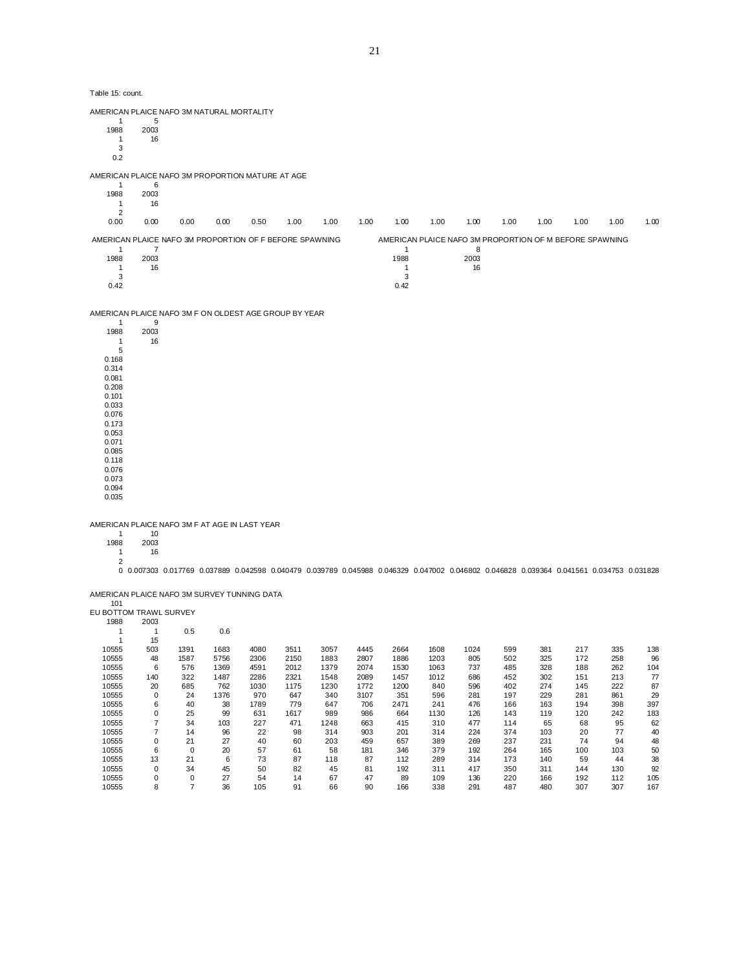AMERICAN PLAICE NAFO 3M NATURAL MORTALITY

 $\begin{array}{cc} & 1 & 5 \\ 1988 & 2003 \end{array}$ 2003 1 16 3 0.2 AMERICAN PLAICE NAFO 3M PROPORTION MATURE AT AGE  $\begin{array}{cc} & 1 & 6 \\ 1988 & 2003 \end{array}$ 2003 1 16  $\begin{array}{c} 2 \\ 0.00 \end{array}$ 0.00 0.00 0.00 0.00 0.50 1.00 1.00 1.00 1.00 1.00 1.00 1.00 1.00 1.00 1.00 1.00 AMERICAN PLAICE NAFO 3M PROPORTION OF F BEFORE SPAWNING AMERICAN PLAICE NAFO 3M PROPORTION OF M BEFORE SPAWNING 1  $7$  1 8 1988 2003 1988 2003 1 16 1 16  $3 \hspace{2.5cm} 3$  $0.42$  0.42 AMERICAN PLAICE NAFO 3M F ON OLDEST AGE GROUP BY YEAR  $\begin{array}{cc} & 1 & 9 \\ 1988 & 2003 \end{array}$ 

1988 2003 5 0.168 0.314 0.081 0.208 0.101 0.033 0.076 0.173 0.053 0.071 0.085 0.118 0.076 0.073 0.094

 $16\,$ 

AMERICAN PLAICE NAFO 3M F AT AGE IN LAST YEAR

1 10<br>1988 2003

0.035

1<sup>2003</sup><br>1<sup>4</sup> 2

16

0 0.007303 0.017769 0.037889 0.042598 0.040479 0.039789 0.045988 0.046329 0.047002 0.046802 0.046828 0.039364 0.041561 0.034753 0.031828

AMERICAN PLAICE NAFO 3M SURVEY TUNNING DATA

| 101                    |                |                |      |      |      |      |      |      |      |      |     |     |     |     |     |
|------------------------|----------------|----------------|------|------|------|------|------|------|------|------|-----|-----|-----|-----|-----|
| EU BOTTOM TRAWL SURVEY |                |                |      |      |      |      |      |      |      |      |     |     |     |     |     |
| 1988                   | 2003           |                |      |      |      |      |      |      |      |      |     |     |     |     |     |
|                        |                | 0.5            | 0.6  |      |      |      |      |      |      |      |     |     |     |     |     |
|                        | 15             |                |      |      |      |      |      |      |      |      |     |     |     |     |     |
| 10555                  | 503            | 1391           | 1683 | 4080 | 3511 | 3057 | 4445 | 2664 | 1608 | 1024 | 599 | 381 | 217 | 335 | 138 |
| 10555                  | 48             | 1587           | 5756 | 2306 | 2150 | 1883 | 2807 | 1886 | 1203 | 805  | 502 | 325 | 172 | 258 | 96  |
| 10555                  | 6              | 576            | 1369 | 4591 | 2012 | 1379 | 2074 | 1530 | 1063 | 737  | 485 | 328 | 188 | 262 | 104 |
| 10555                  | 140            | 322            | 1487 | 2286 | 2321 | 1548 | 2089 | 1457 | 1012 | 686  | 452 | 302 | 151 | 213 | 77  |
| 10555                  | 20             | 685            | 762  | 1030 | 1175 | 1230 | 1772 | 1200 | 840  | 596  | 402 | 274 | 145 | 222 | 87  |
| 10555                  | 0              | 24             | 1376 | 970  | 647  | 340  | 3107 | 351  | 596  | 281  | 197 | 229 | 281 | 861 | 29  |
| 10555                  | 6              | 40             | 38   | 1789 | 779  | 647  | 706  | 2471 | 241  | 476  | 166 | 163 | 194 | 398 | 397 |
| 10555                  | 0              | 25             | 99   | 631  | 1617 | 989  | 986  | 664  | 1130 | 126  | 143 | 119 | 120 | 242 | 183 |
| 10555                  | 7              | 34             | 103  | 227  | 471  | 1248 | 663  | 415  | 310  | 477  | 114 | 65  | 68  | 95  | 62  |
| 10555                  | $\overline{7}$ | 14             | 96   | 22   | 98   | 314  | 903  | 201  | 314  | 224  | 374 | 103 | 20  | 77  | 40  |
| 10555                  | 0              | 21             | 27   | 40   | 60   | 203  | 459  | 657  | 389  | 269  | 237 | 231 | 74  | 94  | 48  |
| 10555                  | 6              | $\mathbf 0$    | 20   | 57   | 61   | 58   | 181  | 346  | 379  | 192  | 264 | 165 | 100 | 103 | 50  |
| 10555                  | 13             | 21             | 6    | 73   | 87   | 118  | 87   | 112  | 289  | 314  | 173 | 140 | 59  | 44  | 38  |
| 10555                  | $\mathbf 0$    | 34             | 45   | 50   | 82   | 45   | 81   | 192  | 311  | 417  | 350 | 311 | 144 | 130 | 92  |
| 10555                  | $\mathbf 0$    | 0              | 27   | 54   | 14   | 67   | 47   | 89   | 109  | 136  | 220 | 166 | 192 | 112 | 105 |
| 10555                  | 8              | $\overline{7}$ | 36   | 105  | 91   | 66   | 90   | 166  | 338  | 291  | 487 | 480 | 307 | 307 | 167 |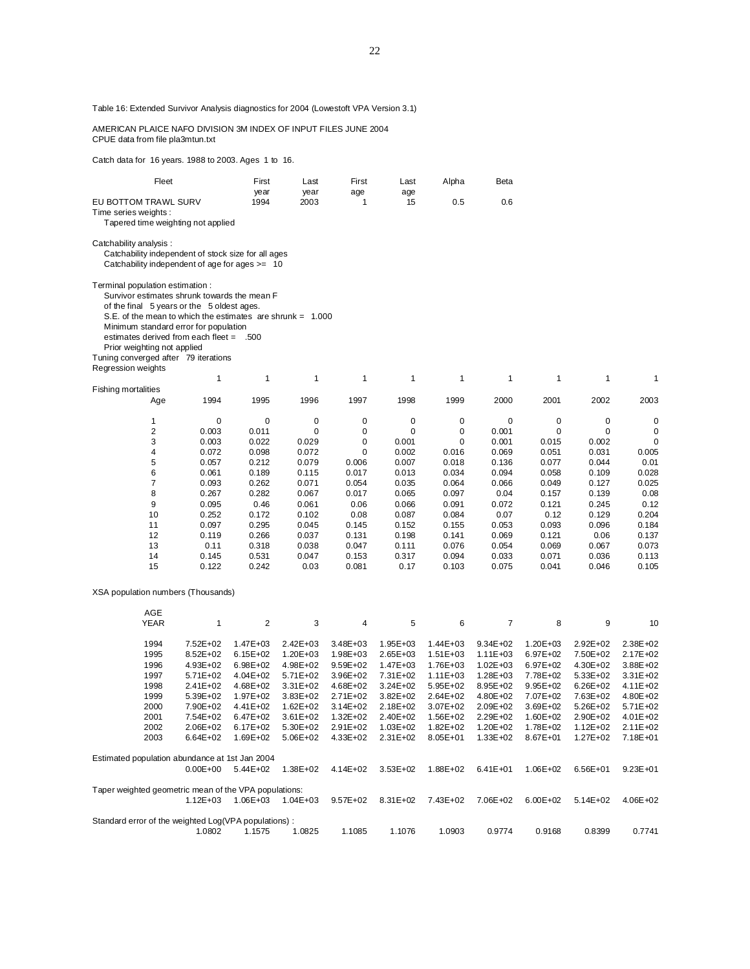Table 16: Extended Survivor Analysis diagnostics for 2004 (Lowestoft VPA Version 3.1)

 AMERICAN PLAICE NAFO DIVISION 3M INDEX OF INPUT FILES JUNE 2004 CPUE data from file pla3mtun.txt

Catch data for 16 years. 1988 to 2003. Ages 1 to 16.

| Fleet                                                        |              | First             | Last         | First        | Last               | Alpha        | Beta           |              |              |              |
|--------------------------------------------------------------|--------------|-------------------|--------------|--------------|--------------------|--------------|----------------|--------------|--------------|--------------|
|                                                              |              | year              | year         | age          | age                |              |                |              |              |              |
| EU BOTTOM TRAWL SURV                                         |              | 1994              | 2003         | 1            | 15                 | 0.5          | 0.6            |              |              |              |
| Time series weights:                                         |              |                   |              |              |                    |              |                |              |              |              |
| Tapered time weighting not applied                           |              |                   |              |              |                    |              |                |              |              |              |
|                                                              |              |                   |              |              |                    |              |                |              |              |              |
| Catchability analysis:                                       |              |                   |              |              |                    |              |                |              |              |              |
| Catchability independent of stock size for all ages          |              |                   |              |              |                    |              |                |              |              |              |
|                                                              |              |                   |              |              |                    |              |                |              |              |              |
| Catchability independent of age for ages $>= 10$             |              |                   |              |              |                    |              |                |              |              |              |
|                                                              |              |                   |              |              |                    |              |                |              |              |              |
| Terminal population estimation :                             |              |                   |              |              |                    |              |                |              |              |              |
| Survivor estimates shrunk towards the mean F                 |              |                   |              |              |                    |              |                |              |              |              |
| of the final 5 years or the 5 oldest ages.                   |              |                   |              |              |                    |              |                |              |              |              |
| S.E. of the mean to which the estimates are shrunk = $1.000$ |              |                   |              |              |                    |              |                |              |              |              |
| Minimum standard error for population                        |              |                   |              |              |                    |              |                |              |              |              |
|                                                              |              |                   |              |              |                    |              |                |              |              |              |
| estimates derived from each fleet = .500                     |              |                   |              |              |                    |              |                |              |              |              |
| Prior weighting not applied                                  |              |                   |              |              |                    |              |                |              |              |              |
| Tuning converged after 79 iterations                         |              |                   |              |              |                    |              |                |              |              |              |
| Regression weights                                           |              |                   |              |              |                    |              |                |              |              |              |
|                                                              | 1            | 1                 | 1            | 1            | 1                  | 1            | 1              | 1            | 1            | 1            |
|                                                              |              |                   |              |              |                    |              |                |              |              |              |
| <b>Fishing mortalities</b>                                   |              |                   |              |              |                    |              |                |              |              |              |
| Age                                                          | 1994         | 1995              | 1996         | 1997         | 1998               | 1999         | 2000           | 2001         | 2002         | 2003         |
|                                                              |              |                   |              |              |                    |              |                |              |              |              |
| 1                                                            | 0            | 0                 | 0            | 0            | 0                  | 0            | 0              | 0            | 0            | 0            |
| 2                                                            | 0.003        | 0.011             | 0            | 0            | 0                  | 0            | 0.001          | 0            | 0            | 0            |
| 3                                                            | 0.003        | 0.022             | 0.029        | 0            | 0.001              | 0            | 0.001          | 0.015        | 0.002        | 0            |
| 4                                                            | 0.072        | 0.098             | 0.072        | 0            | 0.002              | 0.016        | 0.069          | 0.051        | 0.031        | 0.005        |
| 5                                                            | 0.057        | 0.212             | 0.079        | 0.006        | 0.007              | 0.018        | 0.136          | 0.077        | 0.044        | 0.01         |
|                                                              |              |                   |              |              |                    |              |                |              |              |              |
| 6                                                            | 0.061        | 0.189             | 0.115        | 0.017        | 0.013              | 0.034        | 0.094          | 0.058        | 0.109        | 0.028        |
| 7                                                            | 0.093        | 0.262             | 0.071        | 0.054        | 0.035              | 0.064        | 0.066          | 0.049        | 0.127        | 0.025        |
| 8                                                            | 0.267        | 0.282             | 0.067        | 0.017        | 0.065              | 0.097        | 0.04           | 0.157        | 0.139        | 0.08         |
| 9                                                            | 0.095        | 0.46              | 0.061        | 0.06         | 0.066              | 0.091        | 0.072          | 0.121        | 0.245        | 0.12         |
| 10                                                           | 0.252        | 0.172             | 0.102        | 0.08         | 0.087              | 0.084        | 0.07           | 0.12         | 0.129        | 0.204        |
| 11                                                           | 0.097        | 0.295             | 0.045        | 0.145        | 0.152              | 0.155        | 0.053          | 0.093        | 0.096        | 0.184        |
| 12                                                           | 0.119        | 0.266             | 0.037        | 0.131        | 0.198              | 0.141        | 0.069          | 0.121        | 0.06         | 0.137        |
| 13                                                           | 0.11         | 0.318             | 0.038        | 0.047        | 0.111              | 0.076        | 0.054          | 0.069        | 0.067        | 0.073        |
|                                                              |              |                   |              |              |                    |              |                |              |              |              |
| 14                                                           | 0.145        | 0.531             | 0.047        | 0.153        | 0.317              | 0.094        | 0.033          | 0.071        | 0.036        | 0.113        |
| 15                                                           | 0.122        | 0.242             | 0.03         | 0.081        | 0.17               | 0.103        | 0.075          | 0.041        | 0.046        | 0.105        |
|                                                              |              |                   |              |              |                    |              |                |              |              |              |
| XSA population numbers (Thousands)                           |              |                   |              |              |                    |              |                |              |              |              |
|                                                              |              |                   |              |              |                    |              |                |              |              |              |
| AGE                                                          |              |                   |              |              |                    |              |                |              |              |              |
| <b>YEAR</b>                                                  | 1            | $\overline{c}$    | 3            | 4            | 5                  | 6            | $\overline{7}$ | 8            | 9            | 10           |
|                                                              |              |                   |              |              |                    |              |                |              |              |              |
|                                                              |              |                   |              |              |                    |              |                |              |              |              |
| 1994                                                         | 7.52E+02     | 1.47E+03          | 2.42E+03     | $3.48E + 03$ | $1.95E + 03$       | 1.44E+03     | $9.34E + 02$   | 1.20E+03     | 2.92E+02     | 2.38E+02     |
| 1995                                                         | 8.52E+02     | $6.15E + 02$      | $1.20E + 03$ | 1.98E+03     | 2.65E+03           | $1.51E + 03$ | $1.11E + 03$   | 6.97E+02     | 7.50E+02     | 2.17E+02     |
| 1996                                                         | 4.93E+02     | $6.98E + 02$      | 4.98E+02     | $9.59E + 02$ | 1.47E+03           | 1.76E+03     | $1.02E + 03$   | 6.97E+02     | 4.30E+02     | 3.88E+02     |
| 1997                                                         | 5.71E+02     | $4.04E + 02$      | 5.71E+02     | 3.96E+02     | 7.31E+02           | $1.11E + 03$ | $1.28E + 03$   | 7.78E+02     | 5.33E+02     | 3.31E+02     |
| 1998                                                         | 2.41E+02     | 4.68E+02          | 3.31E+02     | 4.68E+02     | 3.24E+02           | 5.95E+02     | $8.95E + 02$   | $9.95E + 02$ | $6.26E + 02$ | 4.11E+02     |
| 1999                                                         | 5.39E+02     | 1.97E+02          |              | 2.71E+02     | 3.82E+02           | 2.64E+02     | 4.80E+02       | 7.07E+02     | 7.63E+02     | 4.80E+02     |
|                                                              |              |                   | 3.83E+02     |              |                    |              |                |              |              |              |
| 2000                                                         | 7.90E+02     | 4.41E+02          | $1.62E + 02$ | $3.14E + 02$ | 2.18E+02           | 3.07E+02     | 2.09E+02       | $3.69E + 02$ | 5.26E+02     | 5.71E+02     |
| 2001                                                         | 7.54E+02     | $6.47E + 02$      | $3.61E + 02$ | $1.32E + 02$ | 2.40E+02           | 1.56E+02     | $2.29E + 02$   | 1.60E+02     | 2.90E+02     | 4.01E+02     |
| 2002                                                         |              | 2.06E+02 6.17E+02 | 5.30E+02     | 2.91E+02     | 1.03E+02  1.82E+02 |              | 1.20E+02       | 1.78E+02     | 1.12E+02     | $2.11E + 02$ |
| 2003                                                         | 6.64E+02     | 1.69E+02          | 5.06E+02     | $4.33E + 02$ | $2.31E+02$         | 8.05E+01     | $1.33E + 02$   | 8.67E+01     | 1.27E+02     | 7.18E+01     |
|                                                              |              |                   |              |              |                    |              |                |              |              |              |
| Estimated population abundance at 1st Jan 2004               |              |                   |              |              |                    |              |                |              |              |              |
|                                                              | $0.00E + 00$ | 5.44E+02          | 1.38E+02     | 4.14E+02     | $3.53E + 02$       | 1.88E+02     | $6.41E + 01$   | 1.06E+02     | 6.56E+01     | $9.23E + 01$ |
|                                                              |              |                   |              |              |                    |              |                |              |              |              |
| Taper weighted geometric mean of the VPA populations:        |              |                   |              |              |                    |              |                |              |              |              |
|                                                              |              |                   |              |              |                    |              |                |              |              |              |
|                                                              | $1.12E + 03$ | $1.06E + 03$      | $1.04E + 03$ | $9.57E + 02$ | 8.31E+02           | 7.43E+02     | 7.06E+02       | $6.00E + 02$ | $5.14E + 02$ | 4.06E+02     |
|                                                              |              |                   |              |              |                    |              |                |              |              |              |
| Standard error of the weighted Log(VPA populations):         |              |                   |              |              |                    |              |                |              |              |              |
|                                                              | 1.0802       | 1.1575            | 1.0825       | 1.1085       | 1.1076             | 1.0903       | 0.9774         | 0.9168       | 0.8399       | 0.7741       |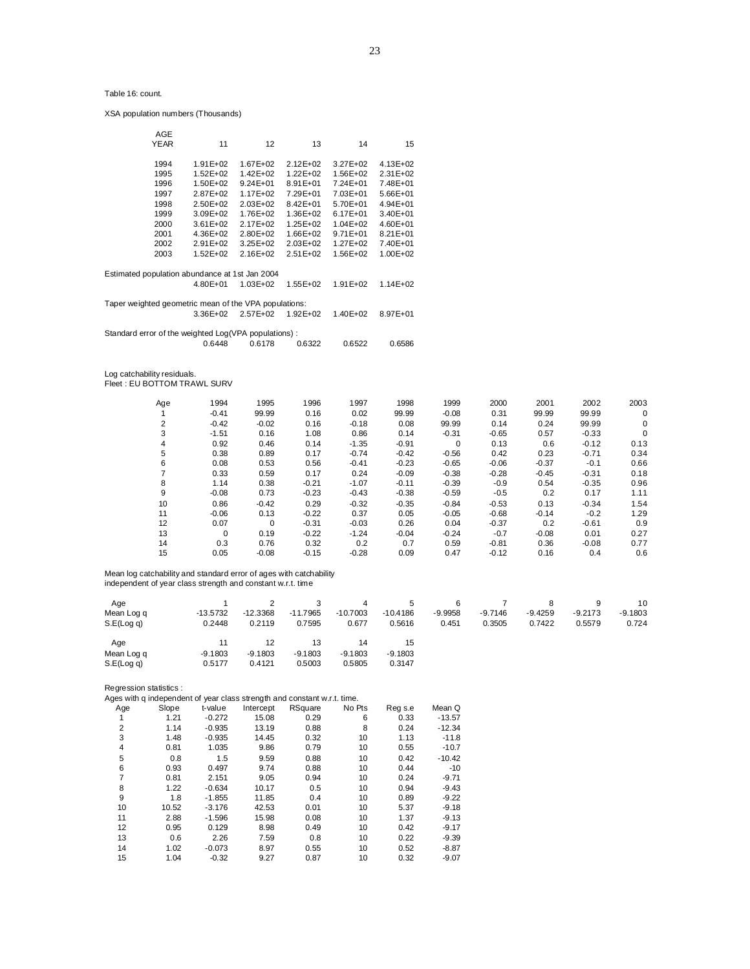XSA population numbers (Thousands)

| AGE<br><b>YEAR</b> | 11                                                    | 12                           | 13                        | 14                           | 15                       |  |
|--------------------|-------------------------------------------------------|------------------------------|---------------------------|------------------------------|--------------------------|--|
| 1994<br>1995       | $1.91E + 02$<br>$1.52E + 02$                          | 167F+02<br>$1.42E + 02$      | $212F+02$<br>$1.22E + 02$ | $3.27E + 02$<br>1.56E+02     | $4.13E + 02$<br>2.31E+02 |  |
| 1996               | $1.50E + 02$                                          | $9.24E + 01$                 | $8.91E + 01$              | $7.24E + 01$                 | 7.48E+01                 |  |
| 1997<br>1998       | $2.87E + 02$<br>$2.50E + 02$                          | $1.17E + 02$<br>$2.03E + 02$ | 7.29E+01<br>$8.42E + 01$  | 7.03E+01<br>$5.70E + 01$     | 5.66E+01<br>$4.94E + 01$ |  |
| 1999               | $3.09E + 02$                                          | 1.76E+02                     | 1.36E+02                  | $6.17E + 01$                 | 3.40E+01                 |  |
| 2000<br>2001       | $3.61E + 02$<br>4.36E+02                              | $2.17E+02$<br>$2.80E + 02$   | $1.25E + 02$<br>1.66E+02  | $1.04E + 02$<br>$9.71E + 01$ | $4.60E + 01$<br>8.21E+01 |  |
| 2002               | $2.91E+02$                                            | $3.25E + 02$                 | $2.03E + 02$              | $1.27E + 02$                 | 7.40E+01                 |  |
| 2003               | $1.52E + 02$                                          | $2.16E+02$                   | $2.51E+02$                | 1.56E+02                     | 1.00E+02                 |  |
|                    | Estimated population abundance at 1st Jan 2004        |                              |                           |                              |                          |  |
|                    | 480F+01                                               | $1.03E + 02$                 | $1.55E + 02$              | $1.91E + 02$                 | $1.14E + 02$             |  |
|                    | Taper weighted geometric mean of the VPA populations: |                              |                           |                              |                          |  |
|                    | 3.36E+02                                              | $2.57E+02$                   | $1.92E + 02$              | $1.40E + 02$                 | 8.97E+01                 |  |
|                    | Standard error of the weighted Log(VPA populations):  |                              |                           |                              |                          |  |
|                    | 0.6448                                                | 0.6178                       | 0.6322                    | 0.6522                       | 0.6586                   |  |
|                    |                                                       |                              |                           |                              |                          |  |

Log catchability residuals. Fleet : EU BOTTOM TRAWL SURV

| Age | 1994     | 1995    | 1996    | 1997    | 1998    | 1999        | 2000    | 2001    | 2002    | 2003 |
|-----|----------|---------|---------|---------|---------|-------------|---------|---------|---------|------|
|     | $-0.41$  | 99.99   | 0.16    | 0.02    | 99.99   | $-0.08$     | 0.31    | 99.99   | 99.99   | 0    |
| 2   | $-0.42$  | $-0.02$ | 0.16    | $-0.18$ | 0.08    | 99.99       | 0.14    | 0.24    | 99.99   | 0    |
| 3   | $-1.51$  | 0.16    | 1.08    | 0.86    | 0.14    | $-0.31$     | $-0.65$ | 0.57    | $-0.33$ | 0    |
| 4   | 0.92     | 0.46    | 0.14    | $-1.35$ | $-0.91$ | $\mathbf 0$ | 0.13    | 0.6     | $-0.12$ | 0.13 |
| 5   | 0.38     | 0.89    | 0.17    | $-0.74$ | $-0.42$ | $-0.56$     | 0.42    | 0.23    | $-0.71$ | 0.34 |
| 6   | 0.08     | 0.53    | 0.56    | $-0.41$ | $-0.23$ | $-0.65$     | $-0.06$ | $-0.37$ | $-0.1$  | 0.66 |
|     | 0.33     | 0.59    | 0.17    | 0.24    | $-0.09$ | $-0.38$     | $-0.28$ | $-0.45$ | $-0.31$ | 0.18 |
| 8   | 1.14     | 0.38    | $-0.21$ | $-1.07$ | $-0.11$ | $-0.39$     | $-0.9$  | 0.54    | $-0.35$ | 0.96 |
| 9   | $-0.08$  | 0.73    | $-0.23$ | $-0.43$ | $-0.38$ | $-0.59$     | $-0.5$  | 0.2     | 0.17    | 1.11 |
| 10  | 0.86     | $-0.42$ | 0.29    | $-0.32$ | $-0.35$ | $-0.84$     | $-0.53$ | 0.13    | $-0.34$ | 1.54 |
| 11  | $-0.06$  | 0.13    | $-0.22$ | 0.37    | 0.05    | $-0.05$     | $-0.68$ | $-0.14$ | $-0.2$  | 1.29 |
| 12  | 0.07     | 0       | $-0.31$ | $-0.03$ | 0.26    | 0.04        | $-0.37$ | 0.2     | $-0.61$ | 0.9  |
| 13  | $\Omega$ | 0.19    | $-0.22$ | $-1.24$ | $-0.04$ | $-0.24$     | $-0.7$  | $-0.08$ | 0.01    | 0.27 |
| 14  | 0.3      | 0.76    | 0.32    | 0.2     | 0.7     | 0.59        | $-0.81$ | 0.36    | $-0.08$ | 0.77 |
| 15  | 0.05     | $-0.08$ | $-0.15$ | $-0.28$ | 0.09    | 0.47        | $-0.12$ | 0.16    | 0.4     | 0.6  |

Mean log catchability and standard error of ages with catchability independent of year class strength and constant w.r.t. time

| Age<br>Mean Log q<br>S.E(Log q) | $-13.5732$<br>0.2448      | $-12.3368$<br>0.2119      | $-11.7965$<br>0.7595      | Δ<br>$-10.7003$<br>0.677  | $\mathbf{p}$<br>$-10.4186$<br>0.5616 | $-9.9958$<br>0.451 | $-9.7146$<br>0.3505 | $-9.4259$<br>0.7422 | $-9.2173$<br>0.5579 | 10<br>$-9.1803$<br>0.724 |
|---------------------------------|---------------------------|---------------------------|---------------------------|---------------------------|--------------------------------------|--------------------|---------------------|---------------------|---------------------|--------------------------|
| Age<br>Mean Log q<br>S.E(Log g) | 11<br>$-9.1803$<br>0.5177 | 12<br>$-9.1803$<br>0.4121 | 13<br>$-9.1803$<br>0.5003 | 14<br>$-9.1803$<br>0.5805 | 15<br>$-9.1803$<br>0.3147            |                    |                     |                     |                     |                          |

Regression statistics :<br>Ages with q independe

|     | Ages with q independent of year class strength and constant w.r.t. time. |          |           |         |        |         |          |  |  |  |
|-----|--------------------------------------------------------------------------|----------|-----------|---------|--------|---------|----------|--|--|--|
| Age | Slope                                                                    | t-value  | Intercept | RSquare | No Pts | Reg s.e | Mean Q   |  |  |  |
|     | 1.21                                                                     | $-0.272$ | 15.08     | 0.29    | 6      | 0.33    | $-13.57$ |  |  |  |
| 2   | 1.14                                                                     | $-0.935$ | 13.19     | 0.88    | 8      | 0.24    | $-12.34$ |  |  |  |
| 3   | 1.48                                                                     | $-0.935$ | 14.45     | 0.32    | 10     | 1.13    | $-11.8$  |  |  |  |
| 4   | 0.81                                                                     | 1.035    | 9.86      | 0.79    | 10     | 0.55    | $-10.7$  |  |  |  |
| 5   | 0.8                                                                      | 1.5      | 9.59      | 0.88    | 10     | 0.42    | $-10.42$ |  |  |  |
| 6   | 0.93                                                                     | 0.497    | 9.74      | 0.88    | 10     | 0.44    | $-10$    |  |  |  |
| 7   | 0.81                                                                     | 2.151    | 9.05      | 0.94    | 10     | 0.24    | $-9.71$  |  |  |  |
| 8   | 1.22                                                                     | $-0.634$ | 10.17     | 0.5     | 10     | 0.94    | $-9.43$  |  |  |  |
| 9   | 1.8                                                                      | $-1.855$ | 11.85     | 0.4     | 10     | 0.89    | $-9.22$  |  |  |  |
| 10  | 10.52                                                                    | $-3.176$ | 42.53     | 0.01    | 10     | 5.37    | $-9.18$  |  |  |  |
| 11  | 2.88                                                                     | $-1.596$ | 15.98     | 0.08    | 10     | 1.37    | $-9.13$  |  |  |  |
| 12  | 0.95                                                                     | 0.129    | 8.98      | 0.49    | 10     | 0.42    | $-9.17$  |  |  |  |
| 13  | 0.6                                                                      | 2.26     | 7.59      | 0.8     | 10     | 0.22    | $-9.39$  |  |  |  |
| 14  | 1.02                                                                     | $-0.073$ | 8.97      | 0.55    | 10     | 0.52    | $-8.87$  |  |  |  |
| 15  | 1.04                                                                     | $-0.32$  | 9.27      | 0.87    | 10     | 0.32    | $-9.07$  |  |  |  |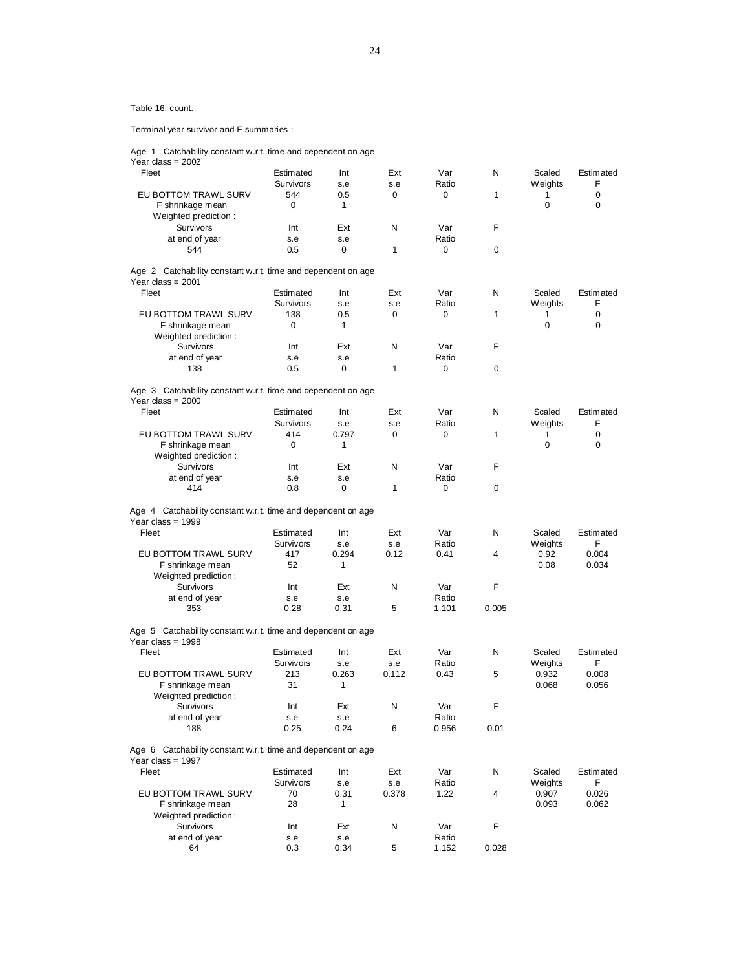Terminal year survivor and F summaries :

Age 1 Catchability constant w.r.t. time and dependent on age

| Year class = $2002$                                          |                  |       |       |       |       |                |             |
|--------------------------------------------------------------|------------------|-------|-------|-------|-------|----------------|-------------|
| Fleet                                                        | Estimated        | Int   | Ext   | Var   | N     | Scaled         | Estimated   |
|                                                              | <b>Survivors</b> | s.e   | s.e   | Ratio |       | <b>Weights</b> | F           |
| EU BOTTOM TRAWL SURV                                         | 544              | 0.5   | 0     | 0     | 1     | 1              | 0           |
| F shrinkage mean                                             | 0                | 1     |       |       |       | 0              | 0           |
| Weighted prediction:                                         |                  |       |       |       |       |                |             |
| Survivors                                                    | Int              | Ext   | N     | Var   | F     |                |             |
| at end of year                                               | s.e              | s.e   |       | Ratio |       |                |             |
| 544                                                          | 0.5              | 0     | 1     | 0     | 0     |                |             |
|                                                              |                  |       |       |       |       |                |             |
| Age 2 Catchability constant w.r.t. time and dependent on age |                  |       |       |       |       |                |             |
| Year class = $2001$                                          |                  |       |       |       |       |                |             |
| Fleet                                                        | Estimated        | Int   | Ext   | Var   | N     | Scaled         | Estimated   |
|                                                              | <b>Survivors</b> | s.e   | s.e   | Ratio |       | Weights        | F           |
| <b>EU BOTTOM TRAWL SURV</b>                                  | 138              | 0.5   | 0     | 0     | 1     | 1              | $\mathbf 0$ |
| F shrinkage mean                                             | 0                | 1     |       |       |       | 0              | 0           |
| Weighted prediction:                                         |                  |       |       |       |       |                |             |
| Survivors                                                    | Int              | Ext   | N     | Var   | F     |                |             |
| at end of year                                               | s.e              | s.e   |       | Ratio |       |                |             |
| 138                                                          | 0.5              | 0     | 1     | 0     | 0     |                |             |
|                                                              |                  |       |       |       |       |                |             |
| Age 3 Catchability constant w.r.t. time and dependent on age |                  |       |       |       |       |                |             |
| Year class = $2000$                                          |                  |       |       |       |       |                |             |
| Fleet                                                        | Estimated        | Int   | Ext   | Var   | N     | Scaled         | Estimated   |
|                                                              | <b>Survivors</b> | s.e   | s.e   | Ratio |       | <b>Weights</b> | F           |
| EU BOTTOM TRAWL SURV                                         | 414              | 0.797 | 0     | 0     | 1     | 1              | $\mathbf 0$ |
| F shrinkage mean                                             | 0                | 1     |       |       |       | 0              | $\mathbf 0$ |
| Weighted prediction:                                         |                  |       |       |       |       |                |             |
| Survivors                                                    | Int              | Ext   | N     | Var   | F     |                |             |
| at end of year                                               | s.e              | s.e   |       | Ratio |       |                |             |
| 414                                                          | 0.8              | 0     | 1     | 0     | 0     |                |             |
|                                                              |                  |       |       |       |       |                |             |
| Age 4 Catchability constant w.r.t. time and dependent on age |                  |       |       |       |       |                |             |
| Year class = $1999$                                          |                  |       |       |       |       |                |             |
| Fleet                                                        | Estimated        | Int   | Ext   | Var   | N     | Scaled         | Estimated   |
|                                                              | Survivors        | s.e   | s.e   | Ratio |       | Weights        | F           |
| EU BOTTOM TRAWL SURV                                         | 417              | 0.294 | 0.12  | 0.41  | 4     | 0.92           | 0.004       |
| F shrinkage mean                                             | 52               | 1     |       |       |       | 0.08           | 0.034       |
| Weighted prediction:                                         |                  |       |       |       |       |                |             |
| Survivors                                                    | Int              | Ext   | N     | Var   | F     |                |             |
| at end of year                                               | s.e              | s.e   |       | Ratio |       |                |             |
| 353                                                          | 0.28             | 0.31  | 5     | 1.101 | 0.005 |                |             |
|                                                              |                  |       |       |       |       |                |             |
| Age 5 Catchability constant w.r.t. time and dependent on age |                  |       |       |       |       |                |             |
| Year class = $1998$                                          |                  |       |       |       |       |                |             |
| Fleet                                                        | Estimated        | Int   | Ext   | Var   | N     | Scaled         | Estimated   |
|                                                              | Survivors        | s.e   | s.e   | Ratio |       | Weights        | F           |
| EU BOTTOM TRAWL SURV                                         | 213              | 0.263 | 0.112 | 0.43  | 5     | 0.932          | 0.008       |
| F shrinkage mean                                             | 31               | 1     |       |       |       | 0.068          | 0.056       |
| Weighted prediction:                                         |                  |       |       |       |       |                |             |
| Survivors                                                    | Int              | Ext   | N     | Var   | F.    |                |             |
| at end of year                                               | s.e              | s.e   |       | Ratio |       |                |             |
| 188                                                          | 0.25             | 0.24  | 6     | 0.956 | 0.01  |                |             |
|                                                              |                  |       |       |       |       |                |             |
| Age 6 Catchability constant w.r.t. time and dependent on age |                  |       |       |       |       |                |             |
| Year class = 1997                                            |                  |       |       |       |       |                |             |
| Fleet                                                        | Estimated        | Int   | Ext   | Var   | N     | Scaled         | Estimated   |
|                                                              | Survivors        | s.e   | s.e   | Ratio |       | Weights        | F           |
| EU BOTTOM TRAWL SURV                                         | 70               | 0.31  | 0.378 | 1.22  | 4     | 0.907          | 0.026       |
| F shrinkage mean                                             | 28               | 1     |       |       |       | 0.093          | 0.062       |
| Weighted prediction:                                         |                  |       |       |       |       |                |             |
| Survivors                                                    | Int              | Ext   | N     | Var   | F     |                |             |
| at end of year                                               | s.e              | s.e   |       | Ratio |       |                |             |
| 64                                                           | 0.3              | 0.34  | 5     | 1.152 | 0.028 |                |             |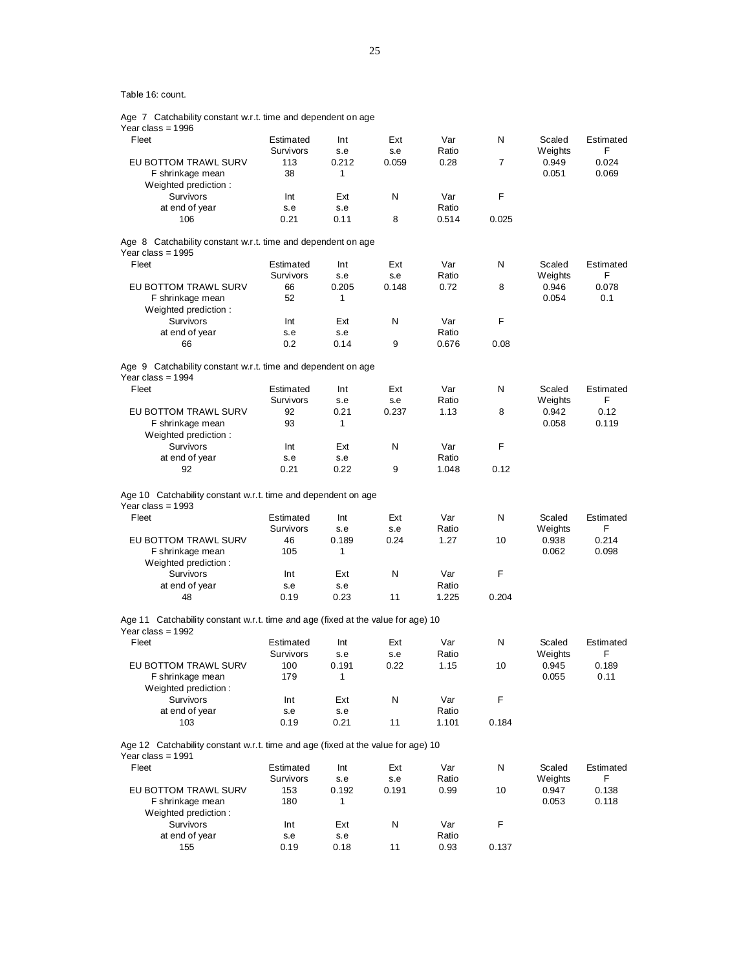|  | Age 7 Catchability constant w.r.t. time and dependent on age |  |  |  |  |
|--|--------------------------------------------------------------|--|--|--|--|
|  |                                                              |  |  |  |  |

Year class = 1996

| Fleet                                                                                                   | Estimated<br>Survivors | Int<br>s.e | Ext<br>s.e | Var<br>Ratio | N              | Scaled<br>Weights | Estimated<br>F |
|---------------------------------------------------------------------------------------------------------|------------------------|------------|------------|--------------|----------------|-------------------|----------------|
| EU BOTTOM TRAWL SURV                                                                                    | 113                    | 0.212      | 0.059      | 0.28         | $\overline{7}$ | 0.949             | 0.024          |
| F shrinkage mean                                                                                        | 38                     | 1          |            |              |                | 0.051             | 0.069          |
| Weighted prediction:<br>Survivors                                                                       |                        | Ext        | N          | Var          | F              |                   |                |
| at end of year                                                                                          | Int<br>s.e             | s.e        |            | Ratio        |                |                   |                |
| 106                                                                                                     | 0.21                   | 0.11       | 8          | 0.514        | 0.025          |                   |                |
|                                                                                                         |                        |            |            |              |                |                   |                |
| Age 8 Catchability constant w.r.t. time and dependent on age<br>Year class = $1995$                     |                        |            |            |              |                |                   |                |
| Fleet                                                                                                   | Estimated              | Int        | Ext        | Var          | N              | Scaled            | Estimated      |
|                                                                                                         | Survivors              | s.e        | s.e        | Ratio        |                | Weights           | F              |
| EU BOTTOM TRAWL SURV<br>F shrinkage mean                                                                | 66<br>52               | 0.205<br>1 | 0.148      | 0.72         | 8              | 0.946<br>0.054    | 0.078<br>0.1   |
| Weighted prediction:                                                                                    |                        |            |            |              |                |                   |                |
| Survivors                                                                                               | Int                    | Ext        | N          | Var          | F              |                   |                |
| at end of year                                                                                          | s.e                    | s.e        |            | Ratio        |                |                   |                |
| 66                                                                                                      | 0.2                    | 0.14       | 9          | 0.676        | 0.08           |                   |                |
| Age 9 Catchability constant w.r.t. time and dependent on age                                            |                        |            |            |              |                |                   |                |
| Year class = $1994$<br>Fleet                                                                            | Estimated              | Int        | Ext        | Var          | N              | Scaled            | Estimated      |
|                                                                                                         | Survivors              | s.e        | s.e        | Ratio        |                | Weights           | F              |
| EU BOTTOM TRAWL SURV                                                                                    | 92                     | 0.21       | 0.237      | 1.13         | 8              | 0.942             | 0.12           |
| F shrinkage mean                                                                                        | 93                     | 1          |            |              |                | 0.058             | 0.119          |
| Weighted prediction:                                                                                    |                        |            |            |              |                |                   |                |
| Survivors                                                                                               | Int                    | Ext        | N          | Var          | F              |                   |                |
| at end of year                                                                                          | s.e                    | s.e        |            | Ratio        |                |                   |                |
| 92                                                                                                      | 0.21                   | 0.22       | 9          | 1.048        | 0.12           |                   |                |
| Age 10 Catchability constant w.r.t. time and dependent on age<br>Year class = $1993$                    |                        |            |            |              |                |                   |                |
| Fleet                                                                                                   | Estimated              | Int        | Ext        | Var          | N              | Scaled            | Estimated      |
|                                                                                                         | Survivors              | s.e        | s.e        | Ratio        |                | Weights           | F              |
| EU BOTTOM TRAWL SURV                                                                                    | 46                     | 0.189      | 0.24       | 1.27         | 10             | 0.938             | 0.214          |
| F shrinkage mean                                                                                        | 105                    | 1          |            |              |                | 0.062             | 0.098          |
| Weighted prediction:<br>Survivors                                                                       | Int                    | Ext        | N          | Var          | F              |                   |                |
| at end of year                                                                                          | s.e                    | s.e        |            | Ratio        |                |                   |                |
| 48                                                                                                      | 0.19                   | 0.23       | 11         | 1.225        | 0.204          |                   |                |
|                                                                                                         |                        |            |            |              |                |                   |                |
| Age 11 Catchability constant w.r.t. time and age (fixed at the value for age) 10<br>Year class = $1992$ |                        |            |            |              |                |                   |                |
| Fleet                                                                                                   | Estimated              | Int        | Ext        | Var          | N              | Scaled            | Estimated      |
|                                                                                                         | Survivors              | s.e        | s.e        | Ratio        |                | Weights           | F              |
| EU BOTTOM TRAWL SURV<br>F shrinkage mean                                                                | 100<br>179             | 0.191<br>1 | 0.22       | 1.15         | 10             | 0.945<br>0.055    | 0.189<br>0.11  |
| Weighted prediction:                                                                                    |                        |            |            |              |                |                   |                |
| Survivors                                                                                               | Int                    | Ext        | N          | Var          | F              |                   |                |
| at end of year                                                                                          | s.e                    | s.e        |            | Ratio        |                |                   |                |
| 103                                                                                                     | 0.19                   | 0.21       | 11         | 1.101        | 0.184          |                   |                |
|                                                                                                         |                        |            |            |              |                |                   |                |
| Age 12 Catchability constant w.r.t. time and age (fixed at the value for age) 10                        |                        |            |            |              |                |                   |                |
| Year class = $1991$<br>Fleet                                                                            | Estimated              | Int        | Ext        | Var          | N              | Scaled            | Estimated      |
|                                                                                                         | Survivors              | s.e        | s.e        | Ratio        |                | Weights           | F              |
| EU BOTTOM TRAWL SURV                                                                                    | 153                    | 0.192      | 0.191      | 0.99         | 10             | 0.947             | 0.138          |
| F shrinkage mean                                                                                        | 180                    | 1          |            |              |                | 0.053             | 0.118          |
| Weighted prediction:                                                                                    |                        |            |            |              |                |                   |                |
| Survivors                                                                                               | Int                    | Ext        | N          | Var          | F              |                   |                |
| at end of year                                                                                          | s.e                    | s.e        |            | Ratio        |                |                   |                |
| 155                                                                                                     | 0.19                   | 0.18       | 11         | 0.93         | 0.137          |                   |                |
|                                                                                                         |                        |            |            |              |                |                   |                |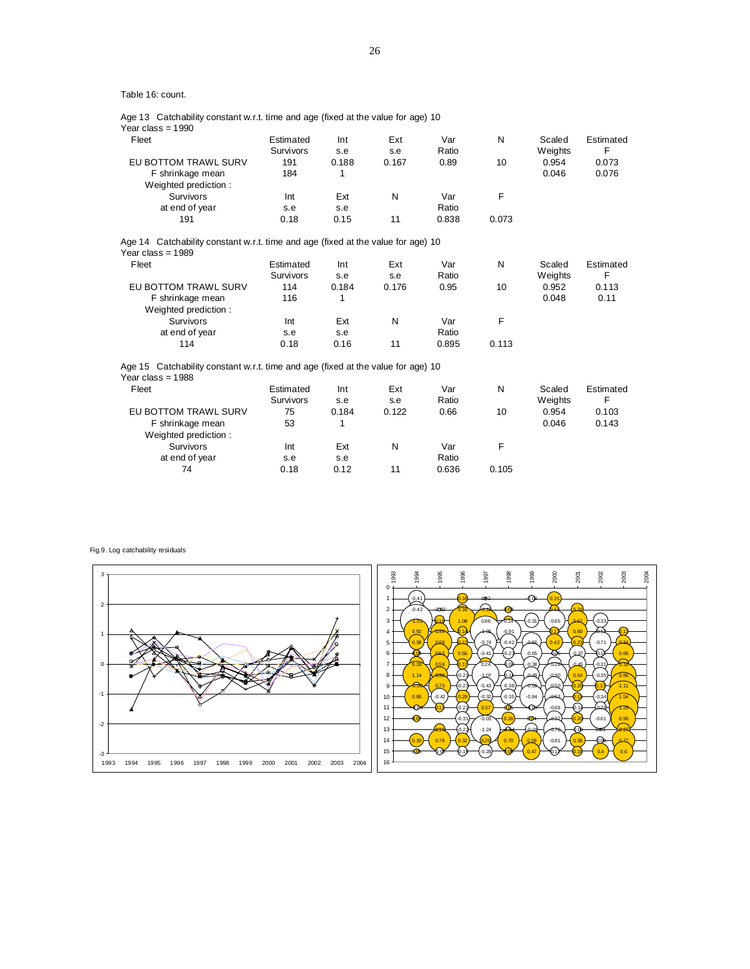|  |  | Age 13 Catchability constant w.r.t. time and age (fixed at the value for age) 10 |  |
|--|--|----------------------------------------------------------------------------------|--|
|--|--|----------------------------------------------------------------------------------|--|

Year class = 1990

| Fleet                                                                            | Estimated<br>Survivors | Int<br>s.e | Ext<br>s.e | Var<br>Ratio | N     | Scaled<br>Weights | Estimated<br>F |
|----------------------------------------------------------------------------------|------------------------|------------|------------|--------------|-------|-------------------|----------------|
| EU BOTTOM TRAWL SURV                                                             | 191                    | 0.188      | 0.167      | 0.89         | 10    | 0.954             | 0.073          |
| F shrinkage mean                                                                 | 184                    | 1          |            |              |       | 0.046             | 0.076          |
| Weighted prediction:                                                             |                        |            |            |              |       |                   |                |
| Survivors                                                                        | Int                    | Ext        | N          | Var          | F     |                   |                |
| at end of year                                                                   | s.e                    | s.e        |            | Ratio        |       |                   |                |
| 191                                                                              | 0.18                   | 0.15       | 11         | 0.838        | 0.073 |                   |                |
| Age 14 Catchability constant w.r.t. time and age (fixed at the value for age) 10 |                        |            |            |              |       |                   |                |
| Year class = $1989$                                                              |                        |            |            |              |       |                   |                |
| Fleet                                                                            | Estimated              | Int        | Ext        | Var          | N     | Scaled            | Estimated      |
|                                                                                  | Survivors              | s.e        | s.e        | Ratio        |       | Weights           | F              |
| EU BOTTOM TRAWL SURV                                                             | 114                    | 0.184      | 0.176      | 0.95         | 10    | 0.952             | 0.113          |
| F shrinkage mean                                                                 | 116                    | 1          |            |              |       | 0.048             | 0.11           |
| Weighted prediction:                                                             |                        |            |            |              |       |                   |                |
| Survivors                                                                        | Int                    | Ext        | N          | Var          | F     |                   |                |
| at end of year                                                                   | s.e                    | s.e        |            | Ratio        |       |                   |                |
| 114                                                                              | 0.18                   | 0.16       | 11         | 0.895        | 0.113 |                   |                |
| Age 15 Catchability constant w.r.t. time and age (fixed at the value for age) 10 |                        |            |            |              |       |                   |                |
| Year class = $1988$                                                              |                        |            |            |              |       |                   |                |
| Fleet                                                                            | Estimated              | Int        | Ext        | Var          | N     | Scaled            | Estimated      |
|                                                                                  | Survivors              | s.e        | s.e        | Ratio        |       | Weights           | F              |
| EU BOTTOM TRAWL SURV                                                             | 75                     | 0.184      | 0.122      | 0.66         | 10    | 0.954             | 0.103          |
| F shrinkage mean                                                                 | 53                     | 1          |            |              |       | 0.046             | 0.143          |
| Weighted prediction:                                                             |                        |            |            |              |       |                   |                |
| <b>Survivors</b>                                                                 | Int                    | Ext        | N          | Var          | F     |                   |                |
| at end of year                                                                   | s.e                    | s.e        |            | Ratio        |       |                   |                |
| 74                                                                               | 0.18                   | 0.12       | 11         | 0.636        | 0.105 |                   |                |

Fig.9. Log catchability residuals

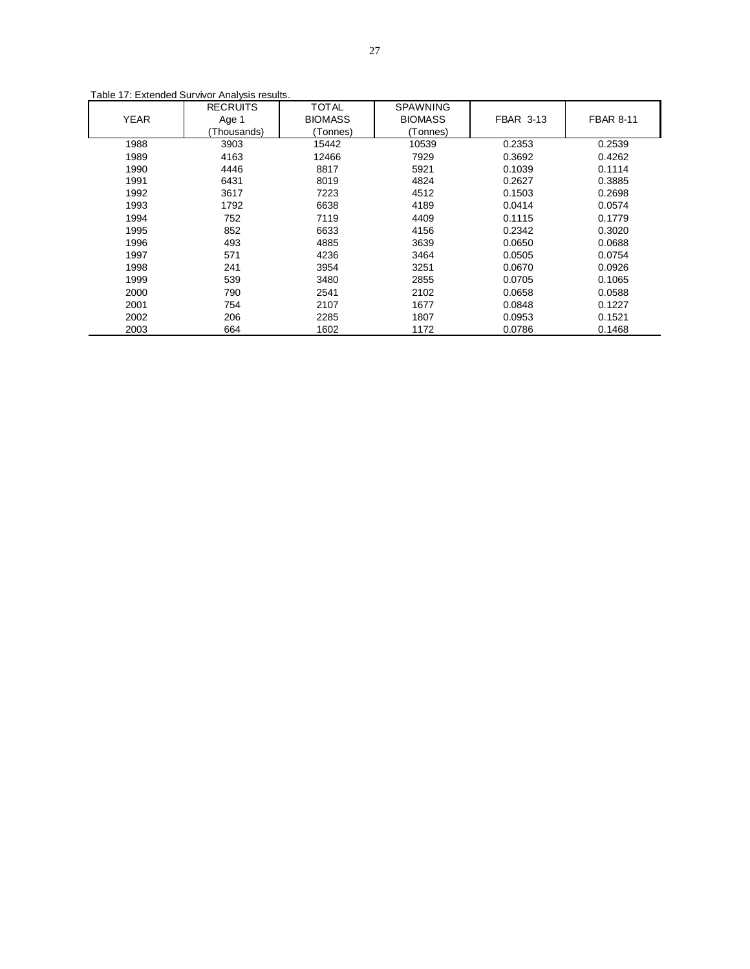|             | <b>RECRUITS</b> | <b>TOTAL</b>   | <b>SPAWNING</b> |                  |                  |
|-------------|-----------------|----------------|-----------------|------------------|------------------|
| <b>YEAR</b> | Age 1           | <b>BIOMASS</b> | <b>BIOMASS</b>  | <b>FBAR 3-13</b> | <b>FBAR 8-11</b> |
|             | Thousands)      | Tonnes)        | (Tonnes)        |                  |                  |
| 1988        | 3903            | 15442          | 10539           | 0.2353           | 0.2539           |
| 1989        | 4163            | 12466          | 7929            | 0.3692           | 0.4262           |
| 1990        | 4446            | 8817           | 5921            | 0.1039           | 0.1114           |
| 1991        | 6431            | 8019           | 4824            | 0.2627           | 0.3885           |
| 1992        | 3617            | 7223           | 4512            | 0.1503           | 0.2698           |
| 1993        | 1792            | 6638           | 4189            | 0.0414           | 0.0574           |
| 1994        | 752             | 7119           | 4409            | 0.1115           | 0.1779           |
| 1995        | 852             | 6633           | 4156            | 0.2342           | 0.3020           |
| 1996        | 493             | 4885           | 3639            | 0.0650           | 0.0688           |
| 1997        | 571             | 4236           | 3464            | 0.0505           | 0.0754           |
| 1998        | 241             | 3954           | 3251            | 0.0670           | 0.0926           |
| 1999        | 539             | 3480           | 2855            | 0.0705           | 0.1065           |
| 2000        | 790             | 2541           | 2102            | 0.0658           | 0.0588           |
| 2001        | 754             | 2107           | 1677            | 0.0848           | 0.1227           |
| 2002        | 206             | 2285           | 1807            | 0.0953           | 0.1521           |
| 2003        | 664             | 1602           | 1172            | 0.0786           | 0.1468           |

Table 17: Extended Survivor Analysis results.